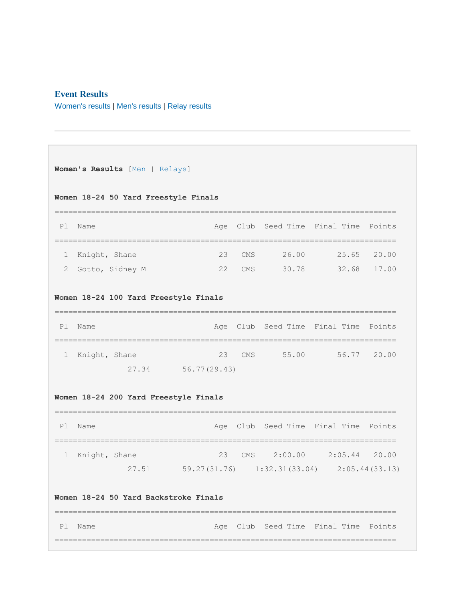# **Event Results**

[Women's results](https://www.usms.org/usmsadmin/meets/meetresults.php?MeetID=20190309PikesPY#Women) | [Men's results](https://www.usms.org/usmsadmin/meets/meetresults.php?MeetID=20190309PikesPY#Men) | [Relay results](https://www.usms.org/usmsadmin/meets/meetresults.php?MeetID=20190309PikesPY#Relays)

```
Women's Results [Men | Relays]
Women 18-24 50 Yard Freestyle Finals
=========================================================================== 
Pl Name Age Club Seed Time Final Time Points
=========================================================================== 
  1 Knight, Shane 23 CMS 26.00 25.65 20.00
  2 Gotto, Sidney M 22 CMS 30.78 32.68 17.00
Women 18-24 100 Yard Freestyle Finals
=========================================================================== 
Pl Name Age Club Seed Time Final Time Points
=========================================================================== 
  1 Knight, Shane 23 CMS 55.00 56.77 20.00
              27.34 56.77(29.43)
Women 18-24 200 Yard Freestyle Finals
=========================================================================== 
Pl Name Age Club Seed Time Final Time Points
=========================================================================== 
  1 Knight, Shane 23 CMS 2:00.00 2:05.44 20.00
              27.51 59.27(31.76) 1:32.31(33.04) 2:05.44(33.13)
Women 18-24 50 Yard Backstroke Finals
=========================================================================== 
Pl Name Age Club Seed Time Final Time Points
===========================================================================
```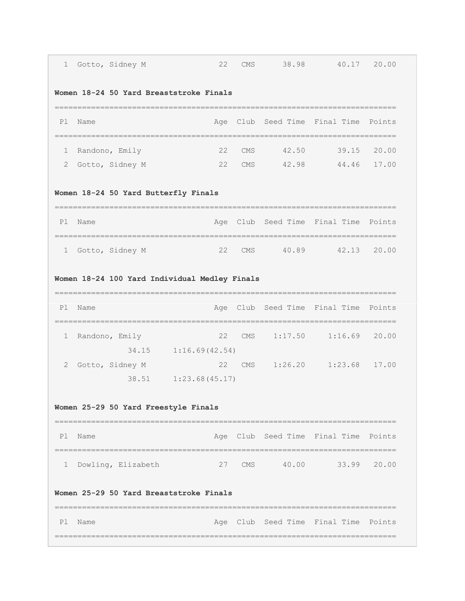| 1                                             |      | Gotto, Sidney M                      | 22                                      | <b>CMS</b> | 38.98 | 40.17                                                   | 20.00  |
|-----------------------------------------------|------|--------------------------------------|-----------------------------------------|------------|-------|---------------------------------------------------------|--------|
|                                               |      |                                      | Women 18-24 50 Yard Breaststroke Finals |            |       |                                                         |        |
| P1                                            | Name |                                      | =========================               |            |       | Age Club Seed Time Final Time<br>====================== | Points |
| ı.                                            |      | Randono, Emily                       | 22                                      | <b>CMS</b> | 42.50 | 39.15                                                   | 20.00  |
| 2                                             |      | Gotto, Sidney M                      | 22                                      | <b>CMS</b> |       | 42.98  44.46  17.00                                     |        |
|                                               |      | Women 18-24 50 Yard Butterfly Finals |                                         |            |       |                                                         |        |
| P1                                            | Name |                                      |                                         |            |       | Age Club Seed Time Final Time                           | Points |
| 1                                             |      | Gotto, Sidney M                      | 22                                      | <b>CMS</b> |       | 40.89 42.13                                             | 20.00  |
| Women 18-24 100 Yard Individual Medley Finals |      |                                      |                                         |            |       |                                                         |        |
|                                               |      |                                      |                                         |            |       |                                                         |        |
| P1                                            | Name |                                      | ----------------------------------      |            |       | Age Club Seed Time Final Time                           | Points |
| 1                                             |      | Randono, Emily                       | 22                                      | <b>CMS</b> |       | $1:17.50$ $1:16.69$ 20.00                               |        |
|                                               |      |                                      | 34.15    1:16.69(42.54)                 |            |       |                                                         |        |
| 2                                             |      | Gotto, Sidney M                      | 22<br>38.51    1:23.68 (45.17)          | CMS        |       | $1:26.20$ $1:23.68$ 17.00                               |        |
|                                               |      | Women 25-29 50 Yard Freestyle Finals |                                         |            |       |                                                         |        |
| P1                                            | Name |                                      |                                         |            |       | Age Club Seed Time Final Time Points                    |        |
| 1                                             |      | Dowling, Elizabeth                   | ========================<br>27          |            |       | ____________________<br>CMS 40.00 33.99 20.00           |        |
|                                               |      |                                      | Women 25-29 50 Yard Breaststroke Finals |            |       |                                                         |        |

 $\overline{a}$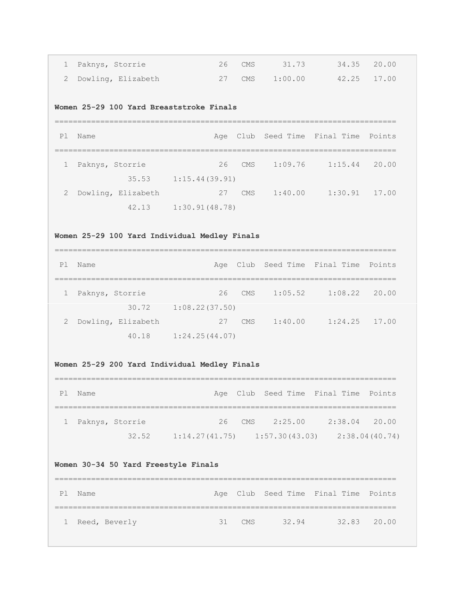| 1 Paknys, Storrie    | 26 CMS | 31.73   | 34.35 20.00 |  |
|----------------------|--------|---------|-------------|--|
| 2 Dowling, Elizabeth | 27 CMS | 1:00.00 | 42.25 17.00 |  |

# **Women 25-29 100 Yard Breaststroke Finals**

| P <sub>1</sub> | Name               |                |        |         | Age Club Seed Time Final Time Points |       |
|----------------|--------------------|----------------|--------|---------|--------------------------------------|-------|
| $\mathbf{1}$   | Paknys, Storrie    |                | 26 CMS | 1:09.76 | 1:15.44                              | 20.00 |
|                | 35.53              | 1:15.44(39.91) |        |         |                                      |       |
| $\mathbf{2}$   | Dowling, Elizabeth | 27             | CMS    | 1:40.00 | $1:30.91$ 17.00                      |       |
|                | 42.13              | 1:30.91(48.78) |        |         |                                      |       |

# **Women 25-29 100 Yard Individual Medley Finals**

| P1             | Name               |                |     |         | Age Club Seed Time Final Time Points |       |
|----------------|--------------------|----------------|-----|---------|--------------------------------------|-------|
|                |                    |                |     |         |                                      |       |
|                | Paknys, Storrie    | 26             | CMS | 1:05.52 | 1:08.22                              | 20.00 |
|                | 30.72              | 1:08.22(37.50) |     |         |                                      |       |
| $\overline{2}$ | Dowling, Elizabeth | 27             | CMS | 1:40.00 | $1:24.25$ 17.00                      |       |
|                | 40.18              | 1:24.25(44.07) |     |         |                                      |       |

# **Women 25-29 200 Yard Individual Medley Finals**

| P1 | Name              |       |                                   |                    | Age Club Seed Time Final Time Points |                |
|----|-------------------|-------|-----------------------------------|--------------------|--------------------------------------|----------------|
|    |                   |       |                                   |                    |                                      |                |
|    | 1 Paknys, Storrie |       |                                   | $26$ CMS $2:25.00$ | $2:38.04$ 20.00                      |                |
|    |                   | 32.52 | $1:14.27(41.75)$ $1:57.30(43.03)$ |                    |                                      | 2:38.04(40.74) |

# **Women 30-34 50 Yard Freestyle Finals**

| P1 | . Name          |          |       | Age Club Seed Time Final Time Points |             |
|----|-----------------|----------|-------|--------------------------------------|-------------|
|    |                 |          |       |                                      |             |
|    | 1 Reed, Beverly | $31$ CMS | 32.94 |                                      | 32.83 20.00 |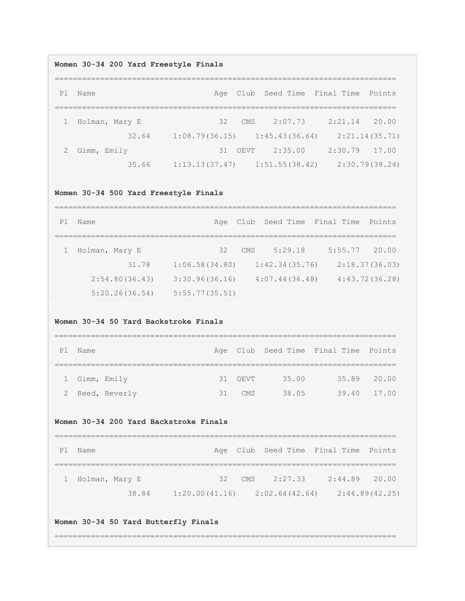#### **Women 30-34 200 Yard Freestyle Finals**

=========================================================================== Pl Name Age Club Seed Time Final Time Points =========================================================================== 1 Holman, Mary E 32 CMS 2:07.73 2:21.14 20.00 32.64 1:08.79(36.15) 1:45.43(36.64) 2:21.14(35.71) 2 Gimm, Emily 31 OEVT 2:35.00 2:30.79 17.00 35.66 1:13.13(37.47) 1:51.55(38.42) 2:30.79(39.24)

#### **Women 30-34 500 Yard Freestyle Finals**

=========================================================================== Pl Name **Age Club Seed Time Final Time Points** =========================================================================== 1 Holman, Mary E 32 CMS 5:29.18 5:55.77 20.00 31.78 1:06.58(34.80) 1:42.34(35.76) 2:18.37(36.03) 2:54.80(36.43) 3:30.96(36.16) 4:07.44(36.48) 4:43.72(36.28) 5:20.26(36.54) 5:55.77(35.51)

### **Women 30-34 50 Yard Backstroke Finals**

| P1 | Name          |               |    |         |       | Age Club Seed Time Final Time Points |             |
|----|---------------|---------------|----|---------|-------|--------------------------------------|-------------|
|    |               |               |    |         |       |                                      |             |
|    | 1 Gimm, Emily |               |    | 31 OEVT | 35.00 |                                      | 35.89 20.00 |
|    |               | Reed, Beverly | 31 | CMS     | 38.05 |                                      | 39.40 17.00 |

#### **Women 30-34 200 Yard Backstroke Finals**

| P1 | Name             |       |                                   | Age Club Seed Time Final Time Points |                 |                |
|----|------------------|-------|-----------------------------------|--------------------------------------|-----------------|----------------|
|    |                  |       |                                   |                                      |                 |                |
|    | 1 Holman, Mary E |       |                                   | $32$ CMS $2:27.33$                   | $2:44.89$ 20.00 |                |
|    |                  | 38.84 | $1:20.00(41.16)$ $2:02.64(42.64)$ |                                      |                 | 2:44.89(42.25) |

#### **Women 30-34 50 Yard Butterfly Finals**

===========================================================================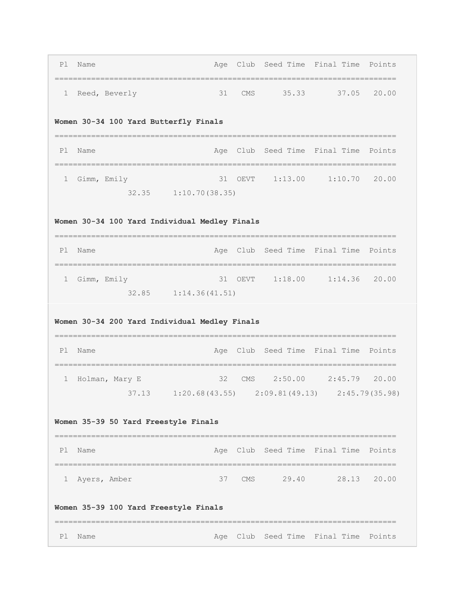| P1 | Name                                          |                                                            |         |  | Age Club Seed Time Final Time Points |        |  |  |  |  |  |
|----|-----------------------------------------------|------------------------------------------------------------|---------|--|--------------------------------------|--------|--|--|--|--|--|
| 1  | Reed, Beverly                                 | 31                                                         |         |  | CMS 35.33 37.05 20.00                |        |  |  |  |  |  |
|    | Women 30-34 100 Yard Butterfly Finals         |                                                            |         |  |                                      |        |  |  |  |  |  |
| P1 | Name                                          |                                                            |         |  | Age Club Seed Time Final Time        | Points |  |  |  |  |  |
| 1  | Gimm, Emily                                   | 32.35 1:10.70 (38.35)                                      | 31 OEVT |  | $1:13.00$ $1:10.70$ 20.00            |        |  |  |  |  |  |
|    | Women 30-34 100 Yard Individual Medley Finals |                                                            |         |  |                                      |        |  |  |  |  |  |
| P1 | Name                                          | ----------------------------                               |         |  | Age Club Seed Time Final Time        | Points |  |  |  |  |  |
| 1  | Gimm, Emily                                   | =========================                                  |         |  | 31 OEVT 1:18.00 1:14.36 20.00        |        |  |  |  |  |  |
|    |                                               |                                                            |         |  |                                      |        |  |  |  |  |  |
|    | Women 30-34 200 Yard Individual Medley Finals | 32.85 1:14.36(41.51)                                       |         |  |                                      |        |  |  |  |  |  |
| P1 | Name                                          |                                                            |         |  | Age Club Seed Time Final Time        | Points |  |  |  |  |  |
| 1  | Holman, Mary E                                | 32                                                         |         |  | CMS 2:50.00 2:45.79 20.00            |        |  |  |  |  |  |
|    | Women 35-39 50 Yard Freestyle Finals          | $37.13$ $1:20.68(43.55)$ $2:09.81(49.13)$ $2:45.79(35.98)$ |         |  |                                      |        |  |  |  |  |  |
| P1 | Name                                          |                                                            |         |  | Age Club Seed Time Final Time Points |        |  |  |  |  |  |
|    | 1 Ayers, Amber                                |                                                            |         |  | 37 CMS 29.40 28.13 20.00             |        |  |  |  |  |  |
|    | Women 35-39 100 Yard Freestyle Finals         |                                                            |         |  |                                      |        |  |  |  |  |  |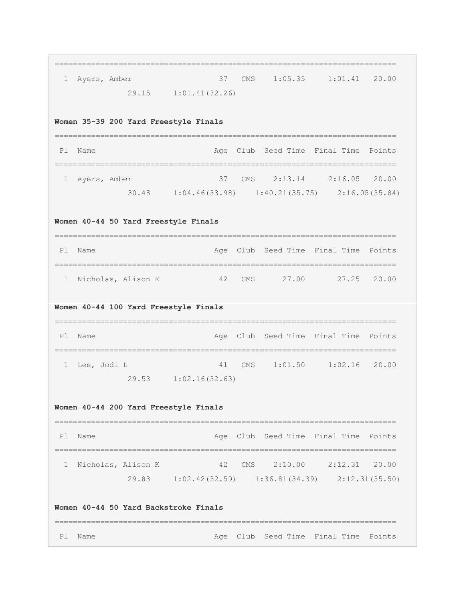| 1            | Ayers, Amber                          |                       | 37  | <b>CMS</b> |       | $1:05.35$ $1:01.41$                                   | 20.00  |
|--------------|---------------------------------------|-----------------------|-----|------------|-------|-------------------------------------------------------|--------|
|              |                                       | 29.15 1:01.41 (32.26) |     |            |       |                                                       |        |
|              | Women 35-39 200 Yard Freestyle Finals |                       |     |            |       |                                                       |        |
| Pl           | Name                                  |                       | Age |            |       | Club Seed Time Final Time                             | Points |
| $\mathbf{1}$ | Ayers, Amber                          |                       | 37  | CMS        |       | 2:13.14 2:16.05 20.00                                 |        |
|              |                                       |                       |     |            |       | $30.48$ 1:04.46(33.98) 1:40.21(35.75) 2:16.05(35.84)  |        |
|              | Women 40-44 50 Yard Freestyle Finals  |                       |     |            |       |                                                       |        |
| Pl           | Name                                  | =================     | Age |            |       | Club Seed Time Final Time                             | Points |
| $\mathbf{1}$ | Nicholas, Alison K                    |                       | 42  | <b>CMS</b> | 27.00 | 27.25                                                 | 20.00  |
| Pl           | Name                                  |                       | Age |            |       | Club Seed Time Final Time                             | Points |
| 1            | Lee, Jodi L                           |                       | 41  | CMS        |       | $1:01.50$ $1:02.16$ 20.00                             |        |
|              |                                       |                       |     |            |       |                                                       |        |
|              |                                       | 29.53 1:02.16(32.63)  |     |            |       |                                                       |        |
|              | Women 40-44 200 Yard Freestyle Finals |                       |     |            |       |                                                       |        |
| P1           | Name                                  |                       |     |            |       | Age Club Seed Time Final Time Points                  |        |
| 1            | Nicholas, Alison K                    |                       | 42  |            |       | CMS 2:10.00 2:12.31 20.00                             |        |
|              |                                       |                       |     |            |       | 29.83 1:02.42 (32.59) 1:36.81 (34.39) 2:12.31 (35.50) |        |
|              | Women 40-44 50 Yard Backstroke Finals |                       |     |            |       |                                                       |        |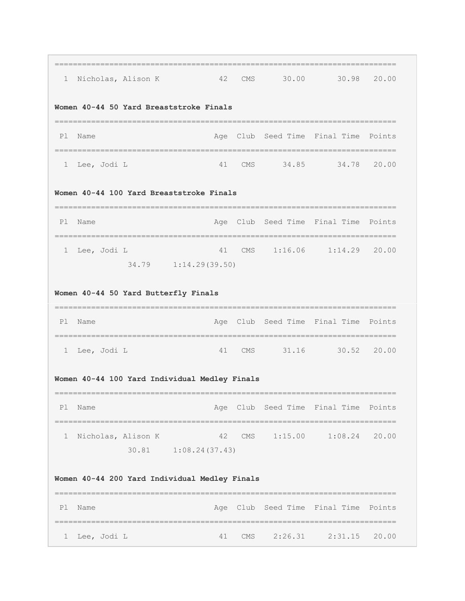| $\mathbf{1}$ | Nicholas, Alison K                                           | 42 CMS                        |  | 30.00 30.98 20.00                                                       |  |
|--------------|--------------------------------------------------------------|-------------------------------|--|-------------------------------------------------------------------------|--|
|              | Women 40-44 50 Yard Breaststroke Finals                      |                               |  |                                                                         |  |
|              | Pl Name                                                      |                               |  | Age Club Seed Time Final Time Points                                    |  |
|              | 1 Lee, Jodi L                                                | ----------------------------- |  | 41 CMS 34.85 34.78 20.00                                                |  |
|              | Women 40-44 100 Yard Breaststroke Finals                     |                               |  |                                                                         |  |
| P1           | Name                                                         |                               |  | Age Club Seed Time Final Time Points                                    |  |
|              | 1 Lee, Jodi L                                                |                               |  | 41 CMS 1:16.06 1:14.29 20.00                                            |  |
|              |                                                              | 34.79    1:14.29(39.50)       |  |                                                                         |  |
|              | Women 40-44 50 Yard Butterfly Finals                         |                               |  |                                                                         |  |
| P1           | Name                                                         |                               |  | Age Club Seed Time Final Time Points                                    |  |
|              | 1 Lee, Jodi L                                                | 41                            |  | CMS 31.16 30.52 20.00                                                   |  |
|              | Women 40-44 100 Yard Individual Medley Finals                |                               |  |                                                                         |  |
| P1           | Name                                                         |                               |  | ===============================<br>Age Club Seed Time Final Time Points |  |
| $\mathbf{1}$ | --------------------------------------<br>Nicholas, Alison K | 42<br>30.81   1:08.24 (37.43) |  | CMS 1:15.00 1:08.24 20.00                                               |  |
|              | Women 40-44 200 Yard Individual Medley Finals                |                               |  |                                                                         |  |
| P1           | Name                                                         |                               |  | Age Club Seed Time Final Time Points                                    |  |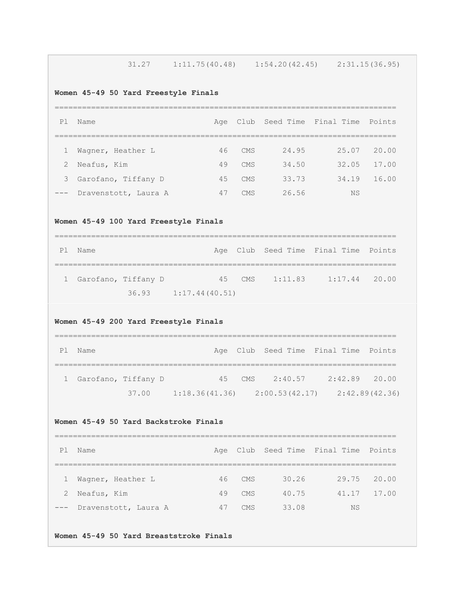| 31.27 | 1:11.75(40.48) | 1:54.20(42.45) | 2:31.15(36.95) |
|-------|----------------|----------------|----------------|
|-------|----------------|----------------|----------------|

# **Women 45-49 50 Yard Freestyle Finals**

| P1    | Name                 | Aae |            |       | Club Seed Time Final Time | Points |  |  |  |
|-------|----------------------|-----|------------|-------|---------------------------|--------|--|--|--|
|       |                      |     |            |       |                           |        |  |  |  |
|       | Waqner, Heather L    | 46  | CMS        | 24.95 | 25.07                     | 20.00  |  |  |  |
| 2     | Neafus, Kim          | 49  | CMS        | 34.50 | 32.05                     | 17.00  |  |  |  |
| 3     | Garofano, Tiffany D  | 45  | <b>CMS</b> | 33.73 | 34.19                     | 16.00  |  |  |  |
| $---$ | Dravenstott, Laura A | 47  | CMS        | 26.56 | <b>NS</b>                 |        |  |  |  |

# **Women 45-49 100 Yard Freestyle Finals**

| P1 Name               |  |                        |  |  | Age Club Seed Time Final Time Points |  |  |
|-----------------------|--|------------------------|--|--|--------------------------------------|--|--|
|                       |  |                        |  |  |                                      |  |  |
| 1 Garofano, Tiffany D |  |                        |  |  | 45 CMS 1:11.83 1:17.44 20.00         |  |  |
|                       |  | $36.93$ 1:17.44(40.51) |  |  |                                      |  |  |

# **Women 45-49 200 Yard Freestyle Finals**

| P <sub>1</sub> | Name                  |       |                                   |        | Age Club Seed Time Final Time Points |                 |  |
|----------------|-----------------------|-------|-----------------------------------|--------|--------------------------------------|-----------------|--|
|                |                       |       |                                   |        |                                      |                 |  |
|                | 1 Garofano, Tiffany D |       |                                   | 45 CMS | 2:40.57                              | $2:42.89$ 20.00 |  |
|                |                       | 37.00 | $1:18.36(41.36)$ $2:00.53(42.17)$ |        |                                      | 2:42.89(42.36)  |  |

# **Women 45-49 50 Yard Backstroke Finals**

| P <sub>1</sub> | Name                     |    |            |       | Age Club Seed Time Final Time Points |             |  |  |  |
|----------------|--------------------------|----|------------|-------|--------------------------------------|-------------|--|--|--|
|                |                          |    |            |       |                                      |             |  |  |  |
| $\mathbf{1}$   | Wagner, Heather L        | 46 | CMS        | 30.26 | 29.75 20.00                          |             |  |  |  |
| 2              | Neafus, Kim              | 49 | CMS        | 40.75 |                                      | 41.17 17.00 |  |  |  |
|                | --- Dravenstott, Laura A | 47 | <b>CMS</b> | 33.08 | NS                                   |             |  |  |  |

# **Women 45-49 50 Yard Breaststroke Finals**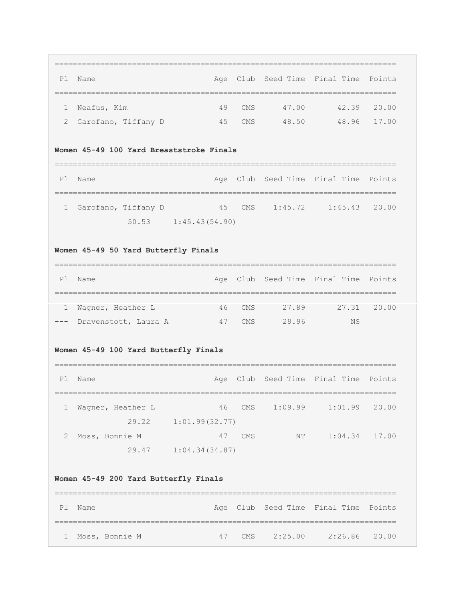=========================================================================== Pl Name **Age Club Seed Time Final Time Points** =========================================================================== 1 Neafus, Kim 49 CMS 47.00 42.39 20.00 2 Garofano, Tiffany D 45 CMS 48.50 48.96 17.00

### **Women 45-49 100 Yard Breaststroke Finals**

| PI | Name                  |                        |                | Age Club Seed Time Final Time Points |  |
|----|-----------------------|------------------------|----------------|--------------------------------------|--|
|    |                       |                        |                |                                      |  |
|    | 1 Garofano, Tiffany D |                        | 45 CMS 1:45.72 | $1:45.43$ 20.00                      |  |
|    |                       | $50.53$ 1:45.43(54.90) |                |                                      |  |

# **Women 45-49 50 Yard Butterfly Finals**

| Ρl           | Name                     |    |            |       | Age Club Seed Time Final Time Points |             |  |  |  |
|--------------|--------------------------|----|------------|-------|--------------------------------------|-------------|--|--|--|
|              |                          |    |            |       |                                      |             |  |  |  |
| $\mathbf{1}$ | Waqner, Heather L        |    | $46$ CMS   | 27.89 |                                      | 27.31 20.00 |  |  |  |
|              | --- Dravenstott, Laura A | 47 | <b>CMS</b> | 29.96 | NS.                                  |             |  |  |  |

# **Women 45-49 100 Yard Butterfly Finals**

| P1 | Name              |                |            |         | Age Club Seed Time Final Time Points |       |
|----|-------------------|----------------|------------|---------|--------------------------------------|-------|
|    | Wagner, Heather L | 46             | CMS        | 1:09.99 | 1:01.99                              | 20.00 |
|    | 29.22             | 1:01.99(32.77) |            |         |                                      |       |
|    | Moss, Bonnie M    | 47             | <b>CMS</b> | ΝT      | 1:04.34                              | 17.00 |
|    | 29.47             | 1:04.34(34.87) |            |         |                                      |       |

#### **Women 45-49 200 Yard Butterfly Finals**

| P1 | Name             |    |  |             | Age Club Seed Time Final Time Points |  |  |  |  |
|----|------------------|----|--|-------------|--------------------------------------|--|--|--|--|
|    |                  |    |  |             |                                      |  |  |  |  |
|    | 1 Moss, Bonnie M | 47 |  | CMS 2:25.00 | $2:26.86$ 20.00                      |  |  |  |  |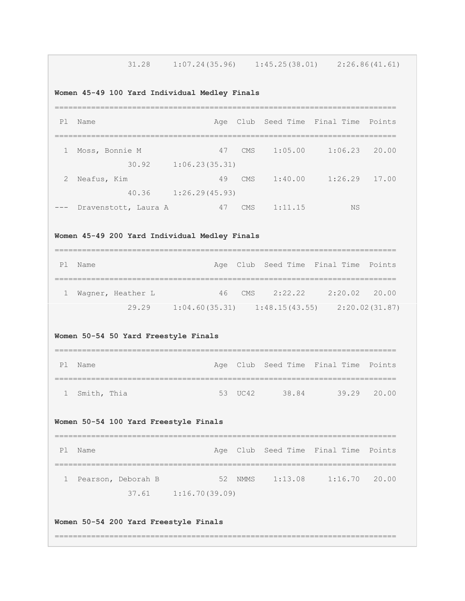31.28 1:07.24(35.96) 1:45.25(38.01) 2:26.86(41.61)

**Women 45-49 100 Yard Individual Medley Finals**

| P1           | Name                 |                |            |         | Age Club Seed Time Final Time | Points |
|--------------|----------------------|----------------|------------|---------|-------------------------------|--------|
|              |                      |                |            |         |                               |        |
| $\mathbf{1}$ | Moss, Bonnie M       | 47             | CMS        | 1:05.00 | 1:06.23                       | 20.00  |
|              | 30.92                | 1:06.23(35.31) |            |         |                               |        |
| 2            | Neafus, Kim          | 49             | <b>CMS</b> | 1:40.00 | 1:26.29                       | 17.00  |
|              | 40.36                | 1:26.29(45.93) |            |         |                               |        |
| $---$        | Dravenstott, Laura A | 47             | <b>CMS</b> | 1:11.15 | NS                            |        |

**Women 45-49 200 Yard Individual Medley Finals**

| P1 | Name |                   |                                   |        | Age Club Seed Time Final Time Points |               |                |
|----|------|-------------------|-----------------------------------|--------|--------------------------------------|---------------|----------------|
|    |      |                   |                                   |        |                                      |               |                |
|    |      | Wagner, Heather L |                                   | 46 CMS | 2:22.22                              | 2:20.02 20.00 |                |
|    |      | 29.29             | $1:04.60(35.31)$ $1:48.15(43.55)$ |        |                                      |               | 2:20.02(31.87) |

# **Women 50-54 50 Yard Freestyle Finals**

| P1 | Name          |  |         |       | Age Club Seed Time Final Time Points |             |
|----|---------------|--|---------|-------|--------------------------------------|-------------|
|    |               |  |         |       |                                      |             |
|    | 1 Smith, Thia |  | 53 UC42 | 38.84 |                                      | 39.29 20.00 |

# **Women 50-54 100 Yard Freestyle Finals**

| P1 Name |                      |                          |                 | Age Club Seed Time Final Time Points |  |
|---------|----------------------|--------------------------|-----------------|--------------------------------------|--|
|         |                      |                          |                 |                                      |  |
|         | 1 Pearson, Deborah B |                          | 52 NMMS 1:13.08 | $1:16.70$ 20.00                      |  |
|         |                      | $37.61$ $1:16.70(39.09)$ |                 |                                      |  |

# **Women 50-54 200 Yard Freestyle Finals**

===========================================================================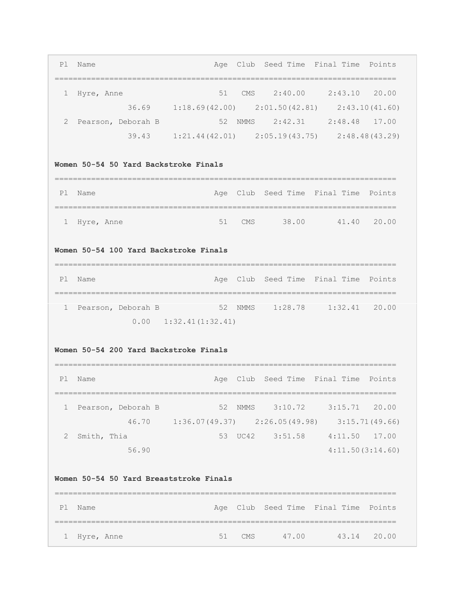|   | Pl Name                               | Age Club Seed Time Final Time Points                |  |  |  |  |  |  |  |  |
|---|---------------------------------------|-----------------------------------------------------|--|--|--|--|--|--|--|--|
|   |                                       |                                                     |  |  |  |  |  |  |  |  |
|   | Hyre, Anne                            | 2:40.00<br>2:43.10<br>20.00<br><b>CMS</b><br>51     |  |  |  |  |  |  |  |  |
|   | 36.69                                 | $1:18.69(42.00)$ $2:01.50(42.81)$<br>2:43.10(41.60) |  |  |  |  |  |  |  |  |
| 2 | Pearson, Deborah B                    | 2:42.31<br>2:48.48 17.00<br>52<br><b>NMMS</b>       |  |  |  |  |  |  |  |  |
|   | 39.43                                 | $1:21.44(42.01)$ $2:05.19(43.75)$ $2:48.48(43.29)$  |  |  |  |  |  |  |  |  |
|   |                                       |                                                     |  |  |  |  |  |  |  |  |
|   | Women 50-54 50 Yard Backstroke Finals |                                                     |  |  |  |  |  |  |  |  |
|   |                                       |                                                     |  |  |  |  |  |  |  |  |

| PI | . Name       |  |          |       | Age Club Seed Time Final Time Points |             |
|----|--------------|--|----------|-------|--------------------------------------|-------------|
|    |              |  |          |       |                                      |             |
|    | 1 Hyre, Anne |  | $51$ CMS | 38.00 |                                      | 41.40 20.00 |

# **Women 50-54 100 Yard Backstroke Finals**

| P1 | Name |                    |                               |                 | Age Club Seed Time Final Time Points |  |
|----|------|--------------------|-------------------------------|-----------------|--------------------------------------|--|
|    |      |                    |                               |                 |                                      |  |
|    |      | Pearson, Deborah B |                               | 52 NMMS 1:28.78 | $1:32.41$ 20.00                      |  |
|    |      |                    | $0.00 \quad 1:32.41(1:32.41)$ |                 |                                      |  |

# **Women 50-54 200 Yard Backstroke Finals**

| P1 | Name               |                                   |         | Age Club Seed Time Final Time Points |                  |                |
|----|--------------------|-----------------------------------|---------|--------------------------------------|------------------|----------------|
|    |                    |                                   |         |                                      |                  |                |
|    | Pearson, Deborah B |                                   | 52 NMMS | 3:10.72                              | $3:15.71$ 20.00  |                |
|    | 46.70              | $1:36.07(49.37)$ $2:26.05(49.98)$ |         |                                      |                  | 3:15.71(49.66) |
|    | Smith, Thia        |                                   | 53 UC42 | 3:51.58                              | 4:11.50          | 17.00          |
|    | 56.90              |                                   |         |                                      | 4:11.50(3:14.60) |                |

#### **Women 50-54 50 Yard Breaststroke Finals**

| Pl Name      |  |        |        | Age Club Seed Time Final Time Points |             |
|--------------|--|--------|--------|--------------------------------------|-------------|
|              |  |        |        |                                      |             |
| 1 Hyre, Anne |  | 51 CMS | 47 O.O |                                      | 43.14 20.00 |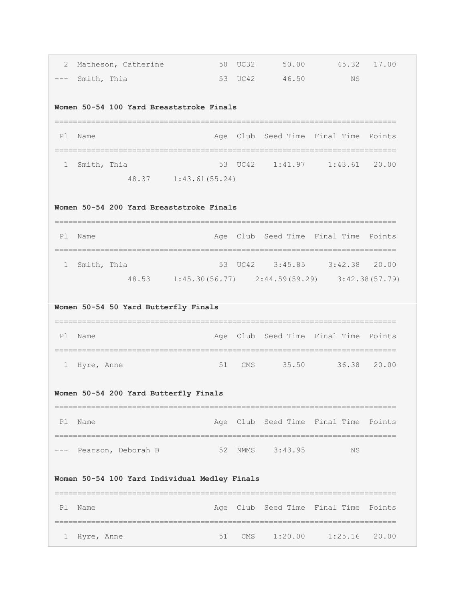| 2                                        |             | Matheson, Catherine                   |                                                    |  |                 | $50 \tUC32$ $50.00$ $45.32$          | 17.00 |  |  |  |  |
|------------------------------------------|-------------|---------------------------------------|----------------------------------------------------|--|-----------------|--------------------------------------|-------|--|--|--|--|
| $---$                                    | Smith, Thia |                                       |                                                    |  | 53 UC42 46.50   | NS                                   |       |  |  |  |  |
|                                          |             |                                       | Women 50-54 100 Yard Breaststroke Finals           |  |                 |                                      |       |  |  |  |  |
| P1                                       | Name        |                                       |                                                    |  |                 | Age Club Seed Time Final Time Points |       |  |  |  |  |
| ı.                                       | Smith, Thia |                                       |                                                    |  |                 | 53 UC42 1:41.97 1:43.61 20.00        |       |  |  |  |  |
|                                          |             |                                       | 48.37    1:43.61 (55.24)                           |  |                 |                                      |       |  |  |  |  |
| Women 50-54 200 Yard Breaststroke Finals |             |                                       |                                                    |  |                 |                                      |       |  |  |  |  |
| P1                                       | Name        |                                       |                                                    |  |                 | Age Club Seed Time Final Time Points |       |  |  |  |  |
| 1                                        | Smith, Thia |                                       |                                                    |  |                 | 53 UC42 3:45.85 3:42.38 20.00        |       |  |  |  |  |
|                                          |             |                                       | 48.53 1:45.30(56.77) 2:44.59(59.29) 3:42.38(57.79) |  |                 |                                      |       |  |  |  |  |
|                                          |             | Women 50-54 50 Yard Butterfly Finals  |                                                    |  |                 |                                      |       |  |  |  |  |
| P1                                       | Name        |                                       |                                                    |  |                 | Age Club Seed Time Final Time Points |       |  |  |  |  |
| ı.                                       | Hyre, Anne  |                                       | 51                                                 |  |                 | CMS 35.50 36.38 20.00                |       |  |  |  |  |
|                                          |             | Women 50-54 200 Yard Butterfly Finals |                                                    |  |                 |                                      |       |  |  |  |  |
| P1                                       | Name        |                                       |                                                    |  |                 |                                      |       |  |  |  |  |
|                                          |             |                                       |                                                    |  |                 | Age Club Seed Time Final Time Points |       |  |  |  |  |
|                                          |             | Pearson, Deborah B                    |                                                    |  | 52 NMMS 3:43.95 | ΝS                                   |       |  |  |  |  |
|                                          |             |                                       | Women 50-54 100 Yard Individual Medley Finals      |  |                 |                                      |       |  |  |  |  |
| P1                                       | Name        |                                       |                                                    |  |                 | Age Club Seed Time Final Time Points |       |  |  |  |  |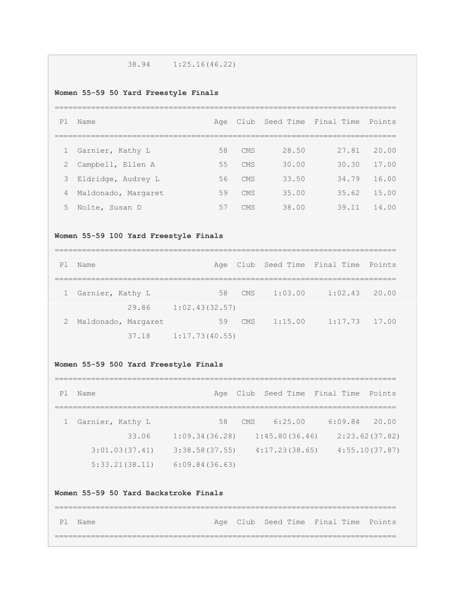# 38.94 1:25.16(46.22)

#### **Women 55-59 50 Yard Freestyle Finals**

# ===========================================================================

| P1           | Name                |    |            |       | Club Seed Time Final Time Points |       |
|--------------|---------------------|----|------------|-------|----------------------------------|-------|
|              |                     |    |            |       |                                  |       |
| $\mathbf{1}$ | Garnier, Kathy L    | 58 | <b>CMS</b> | 28.50 | 27.81                            | 20.00 |
| 2            | Campbell, Ellen A   | 55 | <b>CMS</b> | 30.00 | 30.30                            | 17.00 |
| 3            | Eldridge, Audrey L  | 56 | <b>CMS</b> | 33.50 | 34.79                            | 16.00 |
| 4            | Maldonado, Margaret | 59 | <b>CMS</b> | 35.00 | 35.62                            | 15.00 |
| 5            | Nolte, Susan D      | 57 | <b>CMS</b> | 38.00 | 39.11                            | 14.00 |

#### **Women 55-59 100 Yard Freestyle Finals**

| P1 | Name                |       |                |    |            |         | Age Club Seed Time Final Time Points |       |
|----|---------------------|-------|----------------|----|------------|---------|--------------------------------------|-------|
|    |                     |       |                |    |            |         |                                      |       |
|    | 1 Garnier, Kathy L  |       |                | 58 | CMS        | 1:03.00 | $1:02.43$ 20.00                      |       |
|    |                     | 29.86 | 1:02.43(32.57) |    |            |         |                                      |       |
| 2  | Maldonado, Margaret |       |                | 59 | <b>CMS</b> | 1:15.00 | 1:17.73                              | 17.00 |
|    |                     | 37.18 | 1:17.73(40.55) |    |            |         |                                      |       |

#### **Women 55-59 500 Yard Freestyle Finals**

# =========================================================================== Pl Name Age Club Seed Time Final Time Points =========================================================================== 1 Garnier, Kathy L 58 CMS 6:25.00 6:09.84 20.00 33.06 1:09.34(36.28) 1:45.80(36.46) 2:23.62(37.82) 3:01.03(37.41) 3:38.58(37.55) 4:17.23(38.65) 4:55.10(37.87) 5:33.21(38.11) 6:09.84(36.63)

# **Women 55-59 50 Yard Backstroke Finals**

| Pl Name |  | Age Club Seed Time Final Time Points |  |
|---------|--|--------------------------------------|--|
|         |  |                                      |  |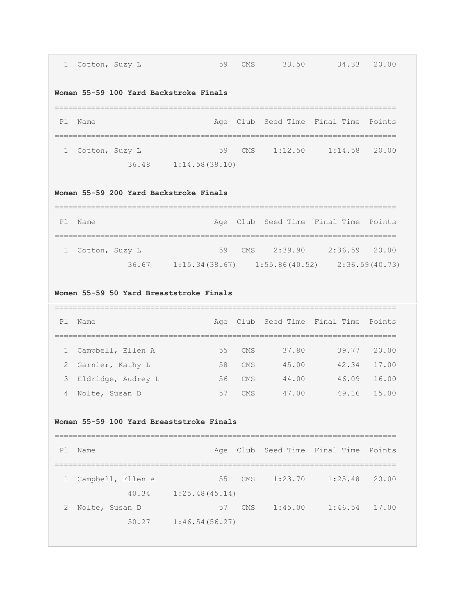| 1  | Cotton, Suzy L                           | 59                                      | <b>CMS</b> | 33.50                                                 | 34.33                                | 20.00                            |
|----|------------------------------------------|-----------------------------------------|------------|-------------------------------------------------------|--------------------------------------|----------------------------------|
|    | Women 55-59 100 Yard Backstroke Finals   |                                         |            |                                                       |                                      |                                  |
| P1 | Name                                     |                                         |            |                                                       | Age Club Seed Time Final Time Points |                                  |
| 1  | Cotton, Suzy L                           | 59                                      | CMS        |                                                       | $1:12.50$ $1:14.58$                  | 20.00                            |
|    |                                          | $36.48$ 1:14.58(38.10)                  |            |                                                       |                                      |                                  |
|    | Women 55-59 200 Yard Backstroke Finals   |                                         |            |                                                       |                                      |                                  |
| P1 | Name                                     |                                         |            |                                                       | Age Club Seed Time Final Time Points |                                  |
| 1  | Cotton, Suzy L                           | 59                                      | CMS        |                                                       | 2:39.90 2:36.59 20.00                |                                  |
|    |                                          |                                         |            | 36.67 1:15.34 (38.67) 1:55.86 (40.52) 2:36.59 (40.73) |                                      |                                  |
|    | Women 55-59 50 Yard Breaststroke Finals  |                                         |            |                                                       |                                      |                                  |
| P1 | Name                                     |                                         |            |                                                       | Age Club Seed Time Final Time Points |                                  |
| 1  | Campbell, Ellen A                        | 55                                      | <b>CMS</b> | 37.80                                                 | 39.77                                |                                  |
| 2  | Garnier, Kathy L                         | 58                                      | <b>CMS</b> | 45.00                                                 | 42.34                                |                                  |
| 3  | Eldridge, Audrey L                       | 56                                      | <b>CMS</b> | 44.00                                                 | 46.09                                |                                  |
| 4  | Nolte, Susan D                           | 57                                      | <b>CMS</b> | 47.00                                                 | 49.16                                | 20.00<br>17.00<br>16.00<br>15.00 |
|    | Women 55-59 100 Yard Breaststroke Finals |                                         |            |                                                       |                                      |                                  |
|    | P1 Name                                  |                                         |            |                                                       | Age Club Seed Time Final Time Points |                                  |
| 1  | Campbell, Ellen A                        | =================================<br>55 | CMS        |                                                       | $1:23.70$ $1:25.48$ 20.00            |                                  |
|    |                                          | $40.34$ $1:25.48(45.14)$                |            |                                                       |                                      |                                  |
| 2  | Nolte, Susan D                           |                                         |            |                                                       | 57 CMS 1:45.00 1:46.54 17.00         |                                  |

г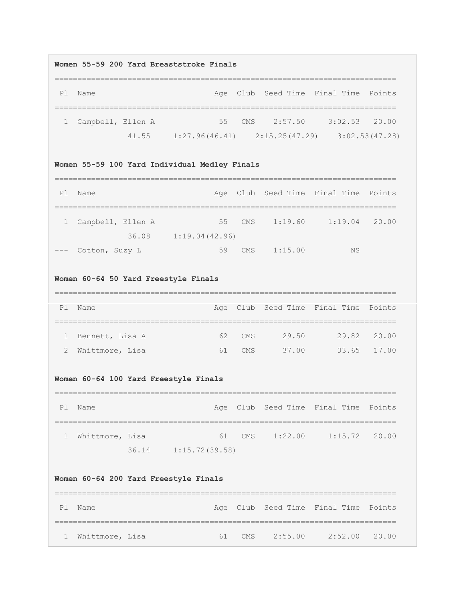#### **Women 55-59 200 Yard Breaststroke Finals**

| P1 Name             |  |  |                | Age Club Seed Time Final Time Points                       |  |
|---------------------|--|--|----------------|------------------------------------------------------------|--|
|                     |  |  |                |                                                            |  |
| 1 Campbell, Ellen A |  |  | 55 CMS 2:57.50 | $3:02.53$ 20.00                                            |  |
|                     |  |  |                | $41.55$ $1:27.96(46.41)$ $2:15.25(47.29)$ $3:02.53(47.28)$ |  |

# **Women 55-59 100 Yard Individual Medley Finals**

| P1           | Name               |       |                |        |         | Age Club Seed Time Final Time Points |  |
|--------------|--------------------|-------|----------------|--------|---------|--------------------------------------|--|
|              |                    |       |                |        |         |                                      |  |
| $\mathbf{1}$ | Campbell, Ellen A  |       |                | 55 CMS | 1:19.60 | $1:19.04$ 20.00                      |  |
|              |                    | 36.08 | 1:19.04(42.96) |        |         |                                      |  |
|              | --- Cotton, Suzy L |       | 59             | CMS    | 1:15.00 | ΝS                                   |  |

# **Women 60-64 50 Yard Freestyle Finals**

| P <sub>1</sub> | Name              |    |        |       | Age Club Seed Time Final Time Points |             |
|----------------|-------------------|----|--------|-------|--------------------------------------|-------------|
|                |                   |    |        |       |                                      |             |
|                | 1 Bennett, Lisa A |    | 62 CMS | 29.50 |                                      | 29.82 20.00 |
|                | 2 Whittmore, Lisa | 61 | CMS.   | 37.00 |                                      | 33.65 17.00 |

# **Women 60-64 100 Yard Freestyle Finals**

| Ρl | Name              |                      |                    | Age Club Seed Time Final Time Points |  |
|----|-------------------|----------------------|--------------------|--------------------------------------|--|
|    |                   |                      |                    |                                      |  |
|    | 1 Whittmore, Lisa |                      | $61$ CMS $1:22.00$ | $1:15.72$ 20.00                      |  |
|    |                   | 36.14 1:15.72(39.58) |                    |                                      |  |

# **Women 60-64 200 Yard Freestyle Finals**

| Pl Name           |    |     |         | Age Club Seed Time Final Time Points |  |
|-------------------|----|-----|---------|--------------------------------------|--|
|                   |    |     |         |                                      |  |
| 1 Whittmore, Lisa | 61 | CMS | 2:55.00 | 2:52.00 20.00                        |  |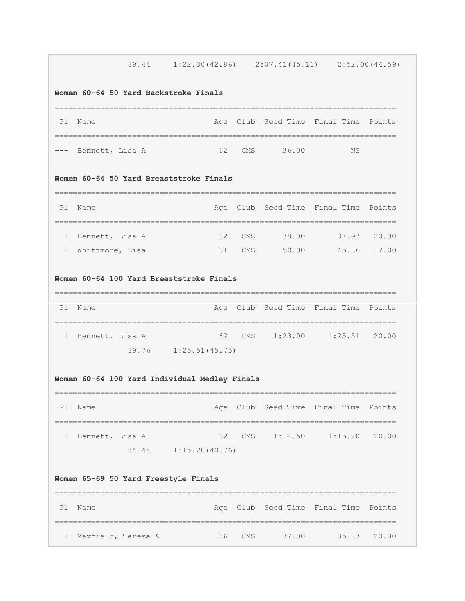# 39.44 1:22.30(42.86) 2:07.41(45.11) 2:52.00(44.59)

#### **Women 60-64 50 Yard Backstroke Finals**

| P1 | Name                |            |       | Age Club Seed Time Final Time Points |
|----|---------------------|------------|-------|--------------------------------------|
|    |                     |            |       |                                      |
|    | --- Bennett, Lisa A | $62$ $CMS$ | 36 00 | NS                                   |

#### **Women 60-64 50 Yard Breaststroke Finals**

| P <sub>1</sub> | Name              |    |        |       | Age Club Seed Time Final Time Points |             |
|----------------|-------------------|----|--------|-------|--------------------------------------|-------------|
|                |                   |    |        |       |                                      |             |
|                | 1 Bennett, Lisa A |    | 62 CMS | 38.00 | 37.97                                | 20.00       |
|                | 2 Whittmore, Lisa | 61 | CMS    | 50.00 |                                      | 45.86 17.00 |

#### **Women 60-64 100 Yard Breaststroke Finals**

| P <sub>1</sub> | Name              |                        |  |                  | Age Club Seed Time Final Time Points |  |
|----------------|-------------------|------------------------|--|------------------|--------------------------------------|--|
|                |                   |                        |  |                  |                                      |  |
|                | 1 Bennett, Lisa A |                        |  | 62 CMS $1:23.00$ | $1:25.51$ 20.00                      |  |
|                |                   | $39.76$ 1:25.51(45.75) |  |                  |                                      |  |

# **Women 60-64 100 Yard Individual Medley Finals**

| P <sub>1</sub> | Name            |                      |                  | Age Club Seed Time Final Time Points |  |
|----------------|-----------------|----------------------|------------------|--------------------------------------|--|
|                |                 |                      |                  |                                      |  |
|                | Bennett, Lisa A |                      | 62 CMS $1:14.50$ | $1:15.20$ 20.00                      |  |
|                |                 | 34.44 1:15.20(40.76) |                  |                                      |  |

### **Women 65-69 50 Yard Freestyle Finals**

| Pl Name              |        |       | Age Club Seed Time Final Time Points |             |
|----------------------|--------|-------|--------------------------------------|-------------|
|                      |        |       |                                      |             |
| 1 Maxfield, Teresa A | 66 CMS | 37.00 |                                      | 35.83 20.00 |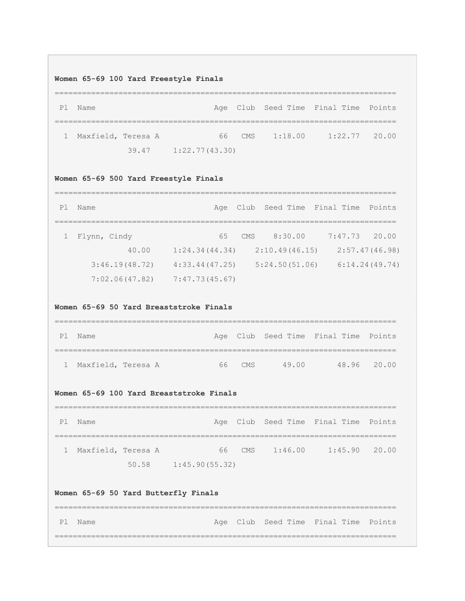#### **Women 65-69 100 Yard Freestyle Finals**

=========================================================================== Pl Name **Age Club Seed Time Final Time Points** =========================================================================== 1 Maxfield, Teresa A 66 CMS 1:18.00 1:22.77 20.00 39.47 1:22.77(43.30)

#### **Women 65-69 500 Yard Freestyle Finals**

| P1 | Name           |                |     |                | Age Club Seed Time Final Time Points |                |
|----|----------------|----------------|-----|----------------|--------------------------------------|----------------|
|    |                |                |     |                |                                      |                |
|    | Flynn, Cindy   | 65             | CMS | 8:30.00        | 7:47.73                              | 20.00          |
|    | 40.00          | 1:24.34(44.34) |     | 2:10.49(46.15) |                                      | 2:57.47(46.98) |
|    | 3:46.19(48.72) | 4:33.44(47.25) |     | 5:24.50(51.06) |                                      | 6:14.24(49.74) |
|    | 7:02.06(47.82) | 7:47.73(45.67) |     |                |                                      |                |

#### **Women 65-69 50 Yard Breaststroke Finals**

| Ρl | Name                 |            |       | Age Club Seed Time Final Time Points |             |
|----|----------------------|------------|-------|--------------------------------------|-------------|
|    |                      |            |       |                                      |             |
|    | 1 Maxfield, Teresa A | $66$ $CMS$ | 49 00 |                                      | 48.96 20.00 |

#### **Women 65-69 100 Yard Breaststroke Finals**

=========================================================================== Pl Name **Age Club Seed Time Final Time Points** =========================================================================== 1 Maxfield, Teresa A 66 CMS 1:46.00 1:45.90 20.00 50.58 1:45.90(55.32)

# **Women 65-69 50 Yard Butterfly Finals**

| Pl Name |  | Age Club Seed Time Final Time Points |  |
|---------|--|--------------------------------------|--|
|         |  |                                      |  |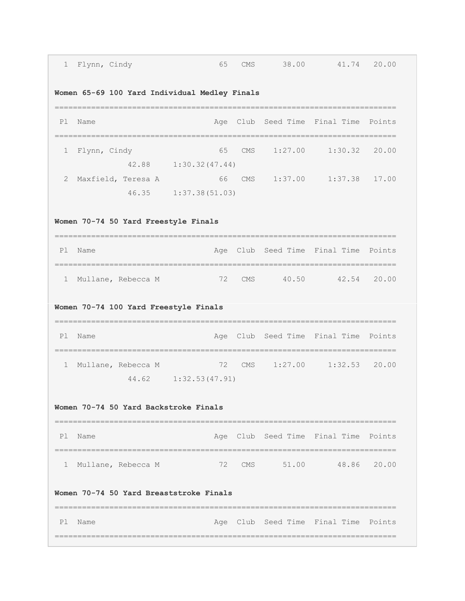| $\mathbf{1}$                          | Flynn, Cindy                                    | 65                      |  | CMS FOR THE COMPANY OF THE COMPANY OF THE COMPANY OF THE COMPANY OF THE COMPANY OF THE COMPANY OF THE COMPANY | 38.00 41.74 20.00                    |  |  |  |  |
|---------------------------------------|-------------------------------------------------|-------------------------|--|---------------------------------------------------------------------------------------------------------------|--------------------------------------|--|--|--|--|
|                                       | Women 65-69 100 Yard Individual Medley Finals   |                         |  |                                                                                                               |                                      |  |  |  |  |
| P1                                    | Name                                            |                         |  |                                                                                                               | Age Club Seed Time Final Time Points |  |  |  |  |
| 1                                     | Flynn, Cindy                                    | 42.88 1:30.32(47.44)    |  |                                                                                                               | 65 CMS 1:27.00 1:30.32 20.00         |  |  |  |  |
| 2                                     | Maxfield, Teresa A 66 CMS 1:37.00 1:37.38 17.00 | 46.35 1:37.38 (51.03)   |  |                                                                                                               |                                      |  |  |  |  |
| Women 70-74 50 Yard Freestyle Finals  |                                                 |                         |  |                                                                                                               |                                      |  |  |  |  |
|                                       | P1 Name                                         | ;=====================  |  |                                                                                                               | Age Club Seed Time Final Time Points |  |  |  |  |
| 1                                     | Mullane, Rebecca M                              |                         |  |                                                                                                               | 72 CMS 40.50 42.54 20.00             |  |  |  |  |
| Women 70-74 100 Yard Freestyle Finals |                                                 |                         |  |                                                                                                               |                                      |  |  |  |  |
| Pl                                    | -------------------------<br>Name               |                         |  |                                                                                                               | Age Club Seed Time Final Time Points |  |  |  |  |
| $\mathbf{1}$                          |                                                 | 44.62    1:32.53(47.91) |  |                                                                                                               |                                      |  |  |  |  |
|                                       | Women 70-74 50 Yard Backstroke Finals           |                         |  |                                                                                                               |                                      |  |  |  |  |
| P1                                    | Name                                            |                         |  |                                                                                                               | Age Club Seed Time Final Time Points |  |  |  |  |
| 1                                     | Mullane, Rebecca M                              |                         |  |                                                                                                               | 72 CMS 51.00 48.86 20.00             |  |  |  |  |
|                                       | Women 70-74 50 Yard Breaststroke Finals         |                         |  |                                                                                                               |                                      |  |  |  |  |
| P1                                    | Name                                            |                         |  |                                                                                                               | Age Club Seed Time Final Time Points |  |  |  |  |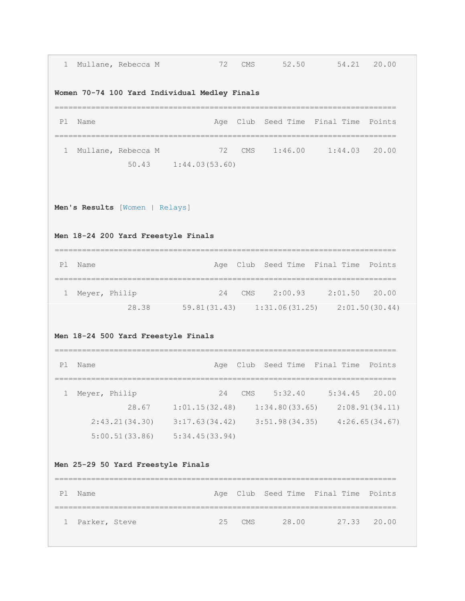| 1  | Mullane, Rebecca M                                                  | 72                                                  | CMS        | 52.50                         | 54.21 20.00                          |        |
|----|---------------------------------------------------------------------|-----------------------------------------------------|------------|-------------------------------|--------------------------------------|--------|
|    | Women 70-74 100 Yard Individual Medley Finals                       |                                                     |            |                               |                                      |        |
| P1 | Name                                                                |                                                     |            | Age Club Seed Time Final Time |                                      | Points |
| 1  | Mullane, Rebecca M                                                  | 72                                                  |            |                               | CMS 1:46.00 1:44.03 20.00            |        |
|    |                                                                     | $50.43$ $1:44.03(53.60)$                            |            |                               |                                      |        |
|    | Men's Results [Women   Relays]                                      |                                                     |            |                               |                                      |        |
|    | Men 18-24 200 Yard Freestyle Finals                                 |                                                     |            |                               |                                      |        |
| P1 | Name                                                                |                                                     |            |                               | Age Club Seed Time Final Time Points |        |
| ı. | Meyer, Philip                                                       | 24                                                  |            |                               | CMS 2:00.93 2:01.50 20.00            |        |
|    |                                                                     | 28.38 59.81 (31.43) 1:31.06 (31.25) 2:01.50 (30.44) |            |                               |                                      |        |
|    | Men 18-24 500 Yard Freestyle Finals                                 |                                                     |            |                               |                                      |        |
| P1 | Name                                                                |                                                     |            |                               | Age Club Seed Time Final Time Points |        |
| 1  | Meyer, Philip                                                       | 24                                                  | <b>CMS</b> | 5:32.40                       | 5:34.45                              | 20.00  |
|    |                                                                     | 28.67 1:01.15(32.48) 1:34.80(33.65) 2:08.91(34.11)  |            |                               |                                      |        |
|    | $2:43.21(34.30)$ $3:17.63(34.42)$ $3:51.98(34.35)$ $4:26.65(34.67)$ |                                                     |            |                               |                                      |        |
|    | $5:00.51(33.86)$ $5:34.45(33.94)$                                   |                                                     |            |                               |                                      |        |
|    | Men 25-29 50 Yard Freestyle Finals                                  |                                                     |            |                               |                                      |        |
| Pl | Name                                                                |                                                     |            | Age Club Seed Time Final Time |                                      | Points |
| 1  | Parker, Steve                                                       | 25                                                  | CMS        | 28.00                         | 27.33                                | 20.00  |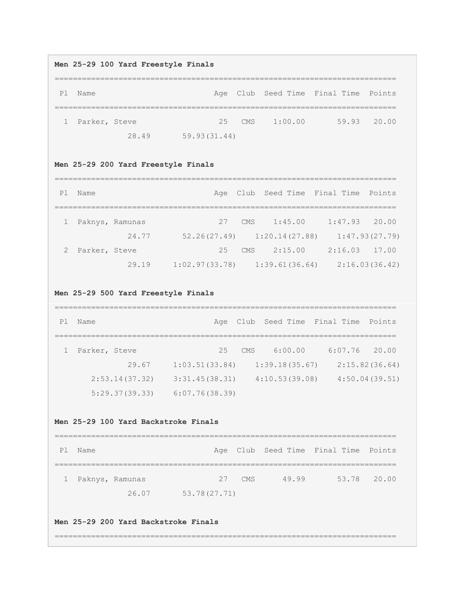#### **Men 25-29 100 Yard Freestyle Finals**

=========================================================================== Pl Name **Age Club Seed Time Final Time Points** =========================================================================== 1 Parker, Steve 25 CMS 1:00.00 59.93 20.00 28.49 59.93(31.44)

#### **Men 25-29 200 Yard Freestyle Finals**

| P1 | Name            |       |                |     |            |                                     | Age Club Seed Time Final Time Points |                |
|----|-----------------|-------|----------------|-----|------------|-------------------------------------|--------------------------------------|----------------|
|    |                 |       |                |     |            |                                     |                                      |                |
|    | Paknys, Ramunas |       |                | 27  | CMS        | 1:45.00                             | 1:47.93                              | 20.00          |
|    |                 | 24.77 |                |     |            | $52, 26(27, 49)$ $1:20, 14(27, 88)$ |                                      | 1:47.93(27.79) |
|    | Parker, Steve   |       |                | 2.5 | <b>CMS</b> | 2:15.00                             | 2:16.03                              | 17.00          |
|    |                 | 29.19 | 1:02.97(33.78) |     |            | 1:39.61(36.64)                      |                                      | 2:16.03(36.42) |

#### **Men 25-29 500 Yard Freestyle Finals**

| P1 | Name          |                |                |     |                | Age Club Seed Time Final Time Points |                |
|----|---------------|----------------|----------------|-----|----------------|--------------------------------------|----------------|
|    |               |                |                |     |                |                                      |                |
|    | Parker, Steve |                | 2.5            | CMS | 6:00.00        | 6:07.76                              | 20.00          |
|    |               | 29.67          | 1:03.51(33.84) |     | 1:39.18(35.67) |                                      | 2:15.82(36.64) |
|    |               | 2:53.14(37.32) | 3:31.45(38.31) |     | 4:10.53(39.08) |                                      | 4:50.04(39.51) |
|    |               | 5:29.37(39.33) | 6:07.76(38.39) |     |                |                                      |                |

#### **Men 25-29 100 Yard Backstroke Finals**

=========================================================================== Pl Name **Age Club Seed Time Final Time Points** =========================================================================== 1 Paknys, Ramunas 27 CMS 49.99 53.78 20.00 26.07 53.78(27.71)

# **Men 25-29 200 Yard Backstroke Finals**

===========================================================================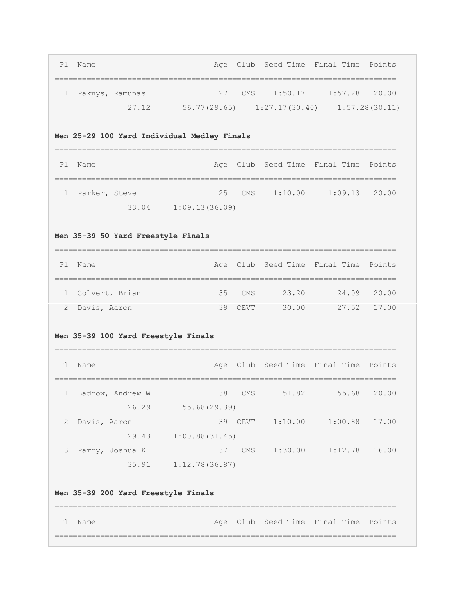| Pl Name           |       |              |    | Age Club Seed Time Final Time Points |  |                 |
|-------------------|-------|--------------|----|--------------------------------------|--|-----------------|
|                   |       |              |    |                                      |  |                 |
| 1 Paknys, Ramunas |       |              | 27 | CMS 1:50.17                          |  | $1:57.28$ 20.00 |
|                   | 27.12 | 56.77(29.65) |    | $1:27.17(30.40)$ $1:57.28(30.11)$    |  |                 |

# **Men 25-29 100 Yard Individual Medley Finals**

| P1 Name         |       |                |  | Age Club Seed Time Final Time Points |  |
|-----------------|-------|----------------|--|--------------------------------------|--|
|                 |       |                |  |                                      |  |
| 1 Parker, Steve |       |                |  | 25 CMS 1:10.00 1:09.13 20.00         |  |
|                 | 33.04 | 1:09.13(36.09) |  |                                      |  |

# **Men 35-39 50 Yard Freestyle Finals**

| P1 | Name             |          |       | Age Club Seed Time Final Time Points |             |
|----|------------------|----------|-------|--------------------------------------|-------------|
|    |                  |          |       |                                      |             |
|    | 1 Colvert, Brian | $35$ CMS | 23.20 | 24.09                                | 20.00       |
|    | 2 Davis, Aaron   | 39 OEVT  | 30.00 |                                      | 27.52 17.00 |

# **Men 35-39 100 Yard Freestyle Finals**

| P1           | Name             |                |      |         | Age Club Seed Time Final Time Points |       |
|--------------|------------------|----------------|------|---------|--------------------------------------|-------|
|              |                  |                |      |         |                                      |       |
| $\mathbf{1}$ | Ladrow, Andrew W | 38             | CMS  | 51.82   | 55.68                                | 20.00 |
|              | 26.29            | 55.68(29.39)   |      |         |                                      |       |
| 2            | Davis, Aaron     | 39             | OEVT | 1:10.00 | 1:00.88                              | 17.00 |
|              | 29.43            | 1:00.88(31.45) |      |         |                                      |       |
| 3            | Parry, Joshua K  | 37             | CMS  | 1:30.00 | 1:12.78                              | 16.00 |
|              | 35.91            | 1:12.78(36.87) |      |         |                                      |       |

# **Men 35-39 200 Yard Freestyle Finals**

| Pl Name |  | Age Club Seed Time Final Time Points |  |  |
|---------|--|--------------------------------------|--|--|
|         |  |                                      |  |  |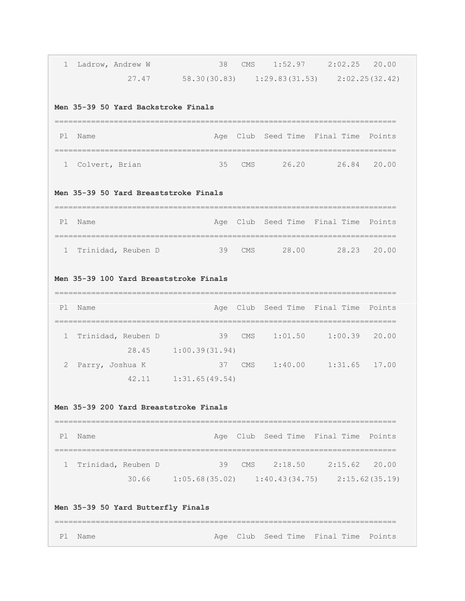| 1            | Ladrow, Andrew W                                                             | 38                                                      |     | CMS 1:52.97 2:02.25 20.00            |                           |        |
|--------------|------------------------------------------------------------------------------|---------------------------------------------------------|-----|--------------------------------------|---------------------------|--------|
|              | 27.47                                                                        | $58.30(30.83)$ $1:29.83(31.53)$ $2:02.25(32.42)$        |     |                                      |                           |        |
|              | Men 35-39 50 Yard Backstroke Finals                                          |                                                         |     |                                      |                           |        |
| P1           | Name                                                                         |                                                         |     | Age Club Seed Time Final Time        |                           | Points |
| $\mathbf{1}$ | Colvert, Brian                                                               | 35                                                      |     | CMS 26.20 26.84 20.00                |                           |        |
|              | Men 35-39 50 Yard Breaststroke Finals                                        |                                                         |     |                                      |                           |        |
| P1           | Name                                                                         |                                                         |     | Age Club Seed Time Final Time Points |                           |        |
| 1            | Trinidad, Reuben D                                                           | 39                                                      | CMS |                                      | 28.00 28.23 20.00         |        |
|              | Men 35-39 100 Yard Breaststroke Finals<br>================================== |                                                         |     |                                      |                           |        |
| P1           | Name                                                                         |                                                         |     | Age Club Seed Time Final Time Points |                           |        |
| 1            | Trinidad, Reuben D                                                           | $\sim$ 39<br>28.45 1:00.39(31.94)                       | CMS |                                      | $1:01.50$ $1:00.39$ 20.00 |        |
| 2            | Parry, Joshua K<br>42.11                                                     | 37<br>1:31.65(49.54)                                    |     | CMS 1:40.00 1:31.65 17.00            |                           |        |
|              | Men 35-39 200 Yard Breaststroke Finals                                       |                                                         |     |                                      |                           |        |
| P1           | Name                                                                         |                                                         |     | Age Club Seed Time Final Time Points |                           |        |
| 1            | Trinidad, Reuben D                                                           | $30.66$ 1:05.68 (35.02) 1:40.43 (34.75) 2:15.62 (35.19) |     | 39 CMS 2:18.50 2:15.62 20.00         |                           |        |
|              | Men 35-39 50 Yard Butterfly Finals                                           |                                                         |     |                                      |                           |        |
| P1           | Name                                                                         |                                                         |     | Age Club Seed Time Final Time Points |                           |        |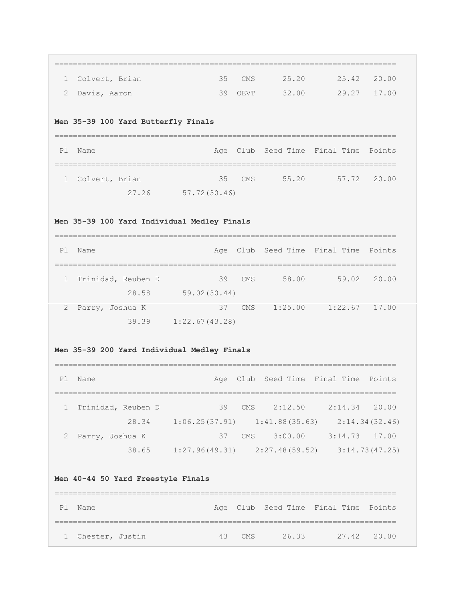| 1            | Colvert, Brian                                 | 35                                                 | CMS  | 25.20 | 25.42                                | 20.00 |
|--------------|------------------------------------------------|----------------------------------------------------|------|-------|--------------------------------------|-------|
| 2            | Davis, Aaron                                   | 39                                                 | OEVT |       | 32.00 29.27                          | 17.00 |
|              | Men 35-39 100 Yard Butterfly Finals            |                                                    |      |       |                                      |       |
| P1           | ======================================<br>Name | Age                                                |      |       | Club Seed Time Final Time Points     |       |
| 1            | Colvert, Brian                                 | 35                                                 | CMS  |       | 55.20 57.72                          | 20.00 |
|              |                                                | 27.26 57.72(30.46)                                 |      |       |                                      |       |
|              | Men 35-39 100 Yard Individual Medley Finals    |                                                    |      |       |                                      |       |
| P1           | Name                                           |                                                    |      |       | Age Club Seed Time Final Time Points |       |
| 1            | Trinidad, Reuben D                             | -------------------------<br>39                    | CMS  |       | 58.00 59.02                          | 20.00 |
|              | 28.58                                          | 59.02(30.44)                                       |      |       |                                      |       |
|              |                                                |                                                    |      |       |                                      |       |
| 2            | Parry, Joshua K                                | 37                                                 |      |       | CMS 1:25.00 1:22.67 17.00            |       |
|              | 39.39                                          | 1:22.67(43.28)                                     |      |       |                                      |       |
|              | Men 35-39 200 Yard Individual Medley Finals    |                                                    |      |       |                                      |       |
|              | Name                                           | Age                                                |      |       | Club Seed Time Final Time Points     |       |
| $\mathbf{1}$ | Trinidad, Reuben D                             | 39                                                 |      |       | CMS 2:12.50 2:14.34 20.00            |       |
| P1           |                                                | 28.34 1:06.25(37.91) 1:41.88(35.63) 2:14.34(32.46) |      |       |                                      |       |
|              | 2 Parry, Joshua K                              |                                                    |      |       | 37 CMS 3:00.00 3:14.73 17.00         |       |
|              |                                                | 38.65 1:27.96(49.31) 2:27.48(59.52) 3:14.73(47.25) |      |       |                                      |       |
|              | Men 40-44 50 Yard Freestyle Finals             |                                                    |      |       |                                      |       |
|              | Pl Name                                        | -------------------------------                    |      |       | Age Club Seed Time Final Time Points |       |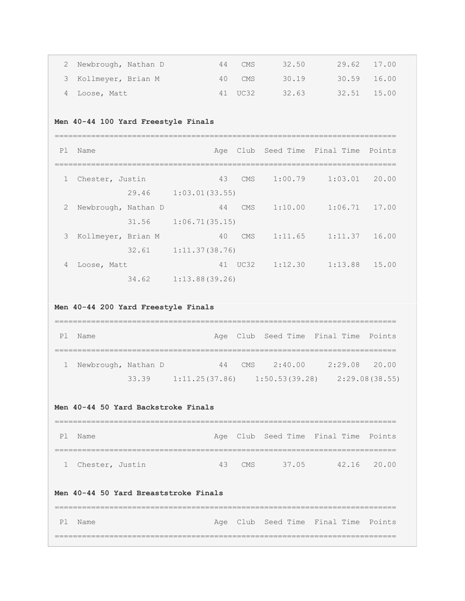| 2 Newbrough, Nathan D | 44 | CMS     | 32.50 | 29.62 17.00 |  |
|-----------------------|----|---------|-------|-------------|--|
| 3 Kollmeyer, Brian M  |    | 40 CMS  | 30.19 | 30.59 16.00 |  |
| 4 Loose, Matt         |    | 41 UC32 | 32.63 | 32.51 15.00 |  |

# **Men 40-44 100 Yard Freestyle Finals**

| P1             | Name                |       |                | Age |            |         | Club Seed Time Final Time Points |       |
|----------------|---------------------|-------|----------------|-----|------------|---------|----------------------------------|-------|
| $\mathbf{1}$   | Chester, Justin     |       |                | 43  | <b>CMS</b> | 1:00.79 | 1:03.01                          | 20.00 |
|                |                     | 29.46 | 1:03.01(33.55) |     |            |         |                                  |       |
| $\overline{2}$ | Newbrough, Nathan D |       |                | 44  | <b>CMS</b> | 1:10.00 | 1:06.71                          | 17.00 |
|                |                     | 31.56 | 1:06.71(35.15) |     |            |         |                                  |       |
| 3              | Kollmeyer, Brian M  |       |                | 40  | <b>CMS</b> | 1:11.65 | 1:11.37                          | 16.00 |
|                |                     | 32.61 | 1:11.37(38.76) |     |            |         |                                  |       |
| 4              | Loose, Matt         |       |                | 41  | UC32       | 1:12.30 | 1:13.88                          | 15.00 |
|                |                     | 34.62 | 1:13.88(39.26) |     |            |         |                                  |       |

# **Men 40-44 200 Yard Freestyle Finals**

| Ρl | Name                |       |                                   |     | Age Club Seed Time Final Time Points |                 |                |
|----|---------------------|-------|-----------------------------------|-----|--------------------------------------|-----------------|----------------|
|    |                     |       |                                   |     |                                      |                 |                |
|    | Newbrough, Nathan D |       | 44                                | CMS | 2:40.00                              | $2:29.08$ 20.00 |                |
|    |                     | 33.39 | $1:11.25(37.86)$ $1:50.53(39.28)$ |     |                                      |                 | 2:29.08(38.55) |

#### **Men 40-44 50 Yard Backstroke Finals**

| Pl Name           |        |       | Age Club Seed Time Final Time Points |             |
|-------------------|--------|-------|--------------------------------------|-------------|
|                   |        |       |                                      |             |
| 1 Chester, Justin | 43 CMS | 37.05 |                                      | 42.16 20.00 |

# **Men 40-44 50 Yard Breaststroke Finals**

| Pl Name |  | Age Club Seed Time Final Time Points |  |
|---------|--|--------------------------------------|--|
|         |  |                                      |  |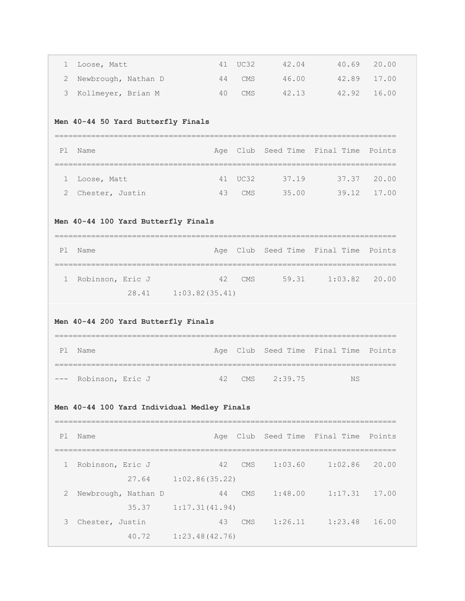| 1                                   | Loose, Matt                                 | 41                   | UC32       | 42.04   | 40.69                                | 20.00  |  |  |  |  |
|-------------------------------------|---------------------------------------------|----------------------|------------|---------|--------------------------------------|--------|--|--|--|--|
| 2                                   | Newbrough, Nathan D                         | 44                   | <b>CMS</b> | 46.00   | 42.89                                | 17.00  |  |  |  |  |
| 3                                   | Kollmeyer, Brian M                          | 40                   | CMS        | 42.13   | 42.92                                | 16.00  |  |  |  |  |
|                                     | Men 40-44 50 Yard Butterfly Finals          |                      |            |         |                                      |        |  |  |  |  |
| Pl                                  | Name                                        | Age                  |            |         | Club Seed Time Final Time            | Points |  |  |  |  |
| ı.                                  | Loose, Matt                                 | 41                   | UC32       | 37.19   | 37.37                                | 20.00  |  |  |  |  |
| 2                                   | Chester, Justin                             | 43                   | CMS        |         | 35.00 39.12                          | 17.00  |  |  |  |  |
| Men 40-44 100 Yard Butterfly Finals |                                             |                      |            |         |                                      |        |  |  |  |  |
| Pl                                  | Name                                        | Age                  |            |         | Club Seed Time Final Time            | Points |  |  |  |  |
| $\mathbf{1}$                        | Robinson, Eric J                            | 42                   | CMS        |         | 59.31 1:03.82                        | 20.00  |  |  |  |  |
|                                     | 28.41                                       | 1:03.82(35.41)       |            |         |                                      |        |  |  |  |  |
| P1                                  | Men 40-44 200 Yard Butterfly Finals<br>Name | Age                  |            |         |                                      |        |  |  |  |  |
|                                     |                                             |                      |            |         | Club Seed Time Final Time Points     |        |  |  |  |  |
|                                     | Robinson, Eric J                            | 42                   | CMS        | 2:39.75 | <b>NS</b>                            |        |  |  |  |  |
|                                     | Men 40-44 100 Yard Individual Medley Finals |                      |            |         |                                      |        |  |  |  |  |
| Pl                                  | Name                                        |                      |            |         | Age Club Seed Time Final Time Points |        |  |  |  |  |
| 1                                   | Robinson, Eric J                            | 42                   | CMS        |         | $1:03.60$ $1:02.86$                  | 20.00  |  |  |  |  |
|                                     |                                             | 27.64 1:02.86(35.22) |            |         |                                      |        |  |  |  |  |
| 2                                   | Newbrough, Nathan D<br>35.37                | 44                   | CMS        |         | $1:48.00$ $1:17.31$                  | 17.00  |  |  |  |  |
| 3                                   | Chester, Justin                             | 1:17.31(41.94)<br>43 |            |         | CMS 1:26.11 1:23.48                  | 16.00  |  |  |  |  |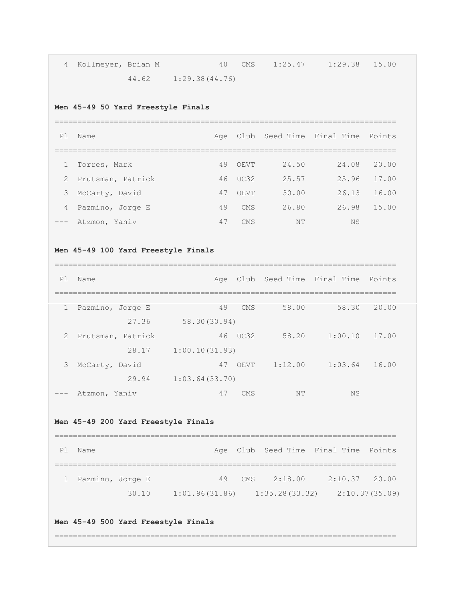| 4 Kollmeyer, Brian M |                          | 40 CMS 1:25.47 1:29.38 15.00 |  |
|----------------------|--------------------------|------------------------------|--|
|                      | $44.62$ $1:29.38(44.76)$ |                              |  |

# **Men 45-49 50 Yard Freestyle Finals**

| P <sub>1</sub>      | Name                |    |            |       | Age Club Seed Time Final Time Points |       |
|---------------------|---------------------|----|------------|-------|--------------------------------------|-------|
|                     |                     |    |            |       |                                      |       |
|                     | 1 Torres, Mark      | 49 | OEVT       | 24.50 | 24.08                                | 20.00 |
|                     | 2 Prutsman, Patrick |    | 46 UC32    | 25.57 | 25.96                                | 17.00 |
|                     | 3 McCarty, David    | 47 | OEVT       | 30.00 | 26.13                                | 16.00 |
|                     | 4 Pazmino, Jorge E  | 49 | <b>CMS</b> | 26.80 | 26.98                                | 15.00 |
| $\qquad \qquad - -$ | Atzmon, Yaniv       | 47 | <b>CMS</b> | NΤ    | <b>NS</b>                            |       |

# **Men 45-49 100 Yard Freestyle Finals**

#### ===========================================================================

| P1                  | Name              | Age            |            |         | Club Seed Time Final Time | Points |
|---------------------|-------------------|----------------|------------|---------|---------------------------|--------|
|                     |                   |                |            |         |                           |        |
| $\mathbf{1}$        | Pazmino, Jorge E  | 49             | CMS        | 58.00   | 58.30                     | 20.00  |
|                     | 27.36             | 58.30(30.94)   |            |         |                           |        |
| $\mathbf{2}$        | Prutsman, Patrick | 46             | UC32       | 58.20   | 1:00.10                   | 17.00  |
|                     | 28.17             | 1:00.10(31.93) |            |         |                           |        |
| 3                   | McCarty, David    | 47             | OEVT       | 1:12.00 | 1:03.64                   | 16.00  |
|                     | 29.94             | 1:03.64(33.70) |            |         |                           |        |
| $\qquad \qquad - -$ | Atzmon, Yaniv     | 47             | <b>CMS</b> | NT      | <b>NS</b>                 |        |

# **Men 45-49 200 Yard Freestyle Finals**

| Ρl | Name               |       |                                   |     |         | Age Club Seed Time Final Time Points |                |
|----|--------------------|-------|-----------------------------------|-----|---------|--------------------------------------|----------------|
|    |                    |       |                                   |     |         |                                      |                |
|    | 1 Pazmino, Jorge E |       | 49                                | CMS | 2:18.00 | $2:10.37$ 20.00                      |                |
|    |                    | 30.10 | $1:01.96(31.86)$ $1:35.28(33.32)$ |     |         |                                      | 2:10.37(35.09) |

# **Men 45-49 500 Yard Freestyle Finals**

===========================================================================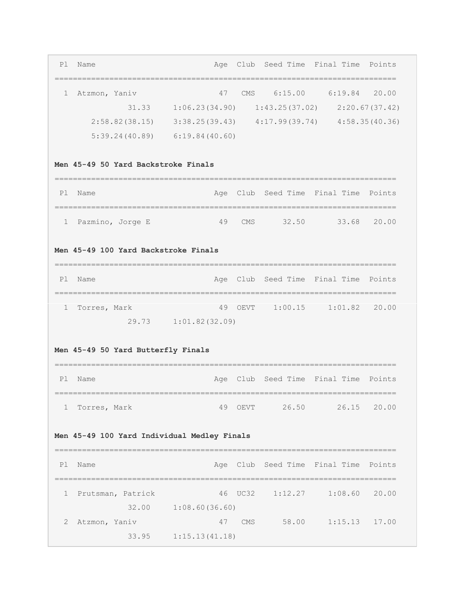| Pl                                   | Name                                                                |                                       |            |       | Age Club Seed Time Final Time Points |                                    |  |  |  |  |  |  |  |  |  |
|--------------------------------------|---------------------------------------------------------------------|---------------------------------------|------------|-------|--------------------------------------|------------------------------------|--|--|--|--|--|--|--|--|--|
| 1                                    | Atzmon, Yaniv                                                       | 47                                    |            |       | CMS 6:15.00 6:19.84 20.00            |                                    |  |  |  |  |  |  |  |  |  |
|                                      |                                                                     | $31.33 \t1:06.23(34.90)$              |            |       | $1:43.25(37.02)$ $2:20.67(37.42)$    |                                    |  |  |  |  |  |  |  |  |  |
|                                      | $2:58.82(38.15)$ $3:38.25(39.43)$ $4:17.99(39.74)$ $4:58.35(40.36)$ |                                       |            |       |                                      |                                    |  |  |  |  |  |  |  |  |  |
|                                      | $5:39.24(40.89)$ $6:19.84(40.60)$                                   |                                       |            |       |                                      |                                    |  |  |  |  |  |  |  |  |  |
| Men 45-49 50 Yard Backstroke Finals  |                                                                     |                                       |            |       |                                      |                                    |  |  |  |  |  |  |  |  |  |
| P1                                   | Name                                                                | Age                                   |            |       | Club Seed Time Final Time Points     |                                    |  |  |  |  |  |  |  |  |  |
| 1                                    | Pazmino, Jorge E                                                    | -------------------------------<br>49 | <b>CMS</b> | 32.50 | 33.68 20.00                          |                                    |  |  |  |  |  |  |  |  |  |
| Men 45-49 100 Yard Backstroke Finals |                                                                     |                                       |            |       |                                      |                                    |  |  |  |  |  |  |  |  |  |
| P1                                   | Name                                                                |                                       |            |       | Age Club Seed Time Final Time Points |                                    |  |  |  |  |  |  |  |  |  |
| 1                                    | Torres, Mark                                                        | 49                                    |            |       | OEVT 1:00.15 1:01.82 20.00           |                                    |  |  |  |  |  |  |  |  |  |
|                                      |                                                                     | 29.73 1:01.82(32.09)                  |            |       |                                      |                                    |  |  |  |  |  |  |  |  |  |
|                                      |                                                                     |                                       |            |       |                                      | Men 45-49 50 Yard Butterfly Finals |  |  |  |  |  |  |  |  |  |
|                                      |                                                                     |                                       |            |       |                                      |                                    |  |  |  |  |  |  |  |  |  |
| P1                                   | Name                                                                | Age                                   |            |       | Club Seed Time Final Time Points     |                                    |  |  |  |  |  |  |  |  |  |
|                                      | 1 Torres, Mark                                                      |                                       |            |       | 49 OEVT 26.50 26.15 20.00            |                                    |  |  |  |  |  |  |  |  |  |
|                                      | Men 45-49 100 Yard Individual Medley Finals                         |                                       |            |       |                                      |                                    |  |  |  |  |  |  |  |  |  |
| P1                                   | Name                                                                |                                       |            |       | Age Club Seed Time Final Time Points |                                    |  |  |  |  |  |  |  |  |  |
| ı.                                   | Prutsman, Patrick                                                   |                                       | 46 UC32    |       | $1:12.27$ $1:08.60$ 20.00            |                                    |  |  |  |  |  |  |  |  |  |
|                                      |                                                                     | 32.00 1:08.60 (36.60)                 |            |       |                                      |                                    |  |  |  |  |  |  |  |  |  |
| 2                                    | Atzmon, Yaniv                                                       | 47<br>33.95    1:15.13(41.18)         |            |       | CMS 58.00 1:15.13 17.00              |                                    |  |  |  |  |  |  |  |  |  |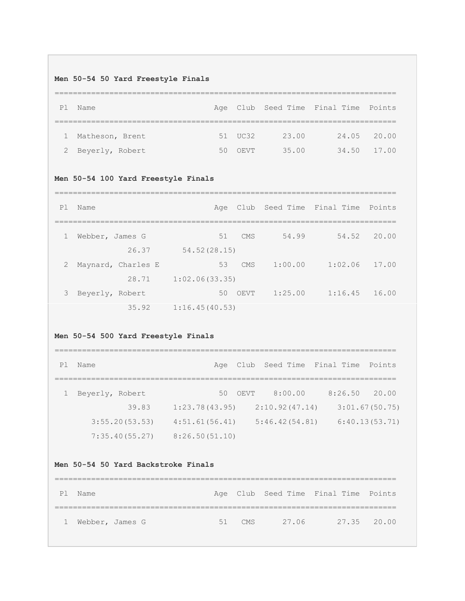# **Men 50-54 50 Yard Freestyle Finals**

| P <sub>1</sub> | Name              |    |         |       | Age Club Seed Time Final Time Points |             |
|----------------|-------------------|----|---------|-------|--------------------------------------|-------------|
|                |                   |    |         |       |                                      |             |
|                | 1 Matheson, Brent |    | 51 UC32 | 23.00 |                                      | 24.05 20.00 |
|                | 2 Beyerly, Robert | 50 | OEVT    | 35.00 | 34.50                                | 17.00       |

# **Men 50-54 100 Yard Freestyle Finals**

| P <sub>1</sub> | Name               | Age            |      |         | Club Seed Time Final Time | Points |
|----------------|--------------------|----------------|------|---------|---------------------------|--------|
|                |                    |                |      |         |                           |        |
| $\mathbf{1}$   | Webber, James G    | 51             | CMS  | 54.99   | 54.52                     | 20.00  |
|                | 26.37              | 54.52(28.15)   |      |         |                           |        |
| 2              | Maynard, Charles E | 53             | CMS  | 1:00.00 | 1:02.06                   | 17.00  |
|                | 28.71              | 1:02.06(33.35) |      |         |                           |        |
| 3              | Beyerly, Robert    | 50             | OEVT | 1:25.00 | 1:16.45                   | 16.00  |
|                | 35.92              | 1:16.45(40.53) |      |         |                           |        |

# **Men 50-54 500 Yard Freestyle Finals**

| P1 | Name            |                |      | Age Club Seed Time Final Time Points |         |                |
|----|-----------------|----------------|------|--------------------------------------|---------|----------------|
|    |                 |                |      |                                      |         |                |
|    | Beyerly, Robert | 50             | OEVT | 8:00.00                              | 8:26.50 | 20.00          |
|    | 39.83           | 1:23.78(43.95) |      | 2:10.92(47.14)                       |         | 3:01.67(50.75) |
|    | 3:55.20(53.53)  | 4:51.61(56.41) |      | 5:46.42(54.81)                       |         | 6:40.13(53.71) |
|    | 7:35.40(55.27)  | 8:26.50(51.10) |      |                                      |         |                |

# **Men 50-54 50 Yard Backstroke Finals**

| P1           | Name            |  |        |       | Age Club Seed Time Final Time Points |             |
|--------------|-----------------|--|--------|-------|--------------------------------------|-------------|
|              |                 |  |        |       |                                      |             |
| $\mathbf{1}$ | Webber, James G |  | 51 CMS | 27.06 |                                      | 27.35 20.00 |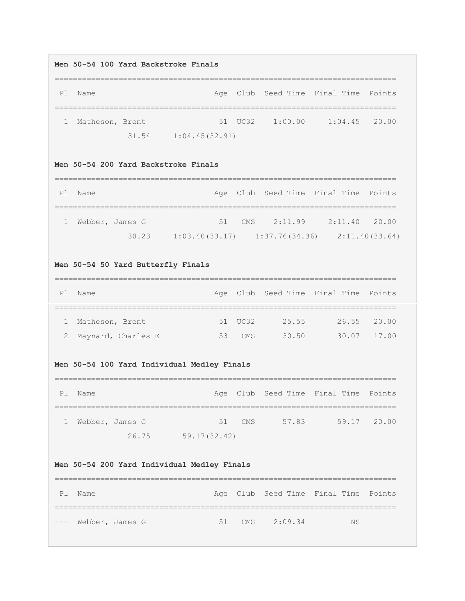#### **Men 50-54 100 Yard Backstroke Finals**

=========================================================================== Pl Name **Age Club Seed Time Final Time Points** =========================================================================== 1 Matheson, Brent 51 UC32 1:00.00 1:04.45 20.00 31.54 1:04.45(32.91)

### **Men 50-54 200 Yard Backstroke Finals**

| P <sub>1</sub> | Name            |       |                                   | Age Club Seed Time Final Time Points |                 |                |
|----------------|-----------------|-------|-----------------------------------|--------------------------------------|-----------------|----------------|
|                |                 |       |                                   |                                      |                 |                |
|                | Webber, James G |       |                                   | $51$ CMS $2:11.99$                   | $2:11.40$ 20.00 |                |
|                |                 | 30.23 | $1:03.40(33.17)$ $1:37.76(34.36)$ |                                      |                 | 2:11.40(33.64) |

# **Men 50-54 50 Yard Butterfly Finals**

| P1 | Name                 |    |         |       | Age Club Seed Time Final Time Points |                 |
|----|----------------------|----|---------|-------|--------------------------------------|-----------------|
|    |                      |    |         |       |                                      |                 |
|    | 1 Matheson, Brent    |    | 51 UC32 | 25.55 |                                      | $26.55$ $20.00$ |
|    | 2 Maynard, Charles E | 53 | CMS     | 30.50 |                                      | 30.07 17.00     |

#### **Men 50-54 100 Yard Individual Medley Finals**

| P1 | Name            |       |              |        |       | Age Club Seed Time Final Time Points |             |
|----|-----------------|-------|--------------|--------|-------|--------------------------------------|-------------|
|    |                 |       |              |        |       |                                      |             |
|    | Webber, James G |       |              | 51 CMS | 57.83 |                                      | 59.17 20.00 |
|    |                 | 26.75 | 59.17(32.42) |        |       |                                      |             |

# **Men 50-54 200 Yard Individual Medley Finals**

| P1 | Name                |  |                | Age Club Seed Time Final Time Points |  |
|----|---------------------|--|----------------|--------------------------------------|--|
|    |                     |  |                |                                      |  |
|    | --- Webber, James G |  | 51 CMS 2:09.34 | <b>NS</b>                            |  |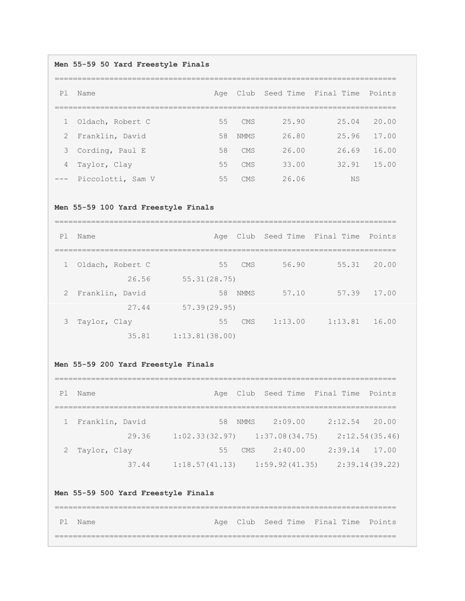# **Men 55-59 50 Yard Freestyle Finals**

| P1 | Name                  | Age |             |       | Club Seed Time Final Time | Points |
|----|-----------------------|-----|-------------|-------|---------------------------|--------|
|    |                       |     |             |       |                           |        |
|    | 1 Oldach, Robert C    | 55  | <b>CMS</b>  | 25.90 | 25.04                     | 20.00  |
|    | 2 Franklin, David     | 58  | <b>NMMS</b> | 26.80 | 25.96                     | 17.00  |
|    | 3 Cording, Paul E     | 58  | CMS         | 26.00 | 26.69                     | 16.00  |
|    | 4 Taylor, Clay        | 55  | <b>CMS</b>  | 33.00 | 32.91                     | 15.00  |
|    | --- Piccolotti, Sam V | 55  | CMS         | 26.06 | NS                        |        |

# **Men 55-59 100 Yard Freestyle Finals**

| P1 | Name               |                |      |         | Age Club Seed Time Final Time Points |       |
|----|--------------------|----------------|------|---------|--------------------------------------|-------|
|    | 1 Oldach, Robert C | 55             | CMS  | 56.90   | 55.31                                | 20.00 |
|    | 26.56              | 55.31(28.75)   |      |         |                                      |       |
|    | 2 Franklin, David  | 58             | NMMS | 57.10   | 57.39                                | 17.00 |
|    | 27.44              | 57.39(29.95)   |      |         |                                      |       |
| 3  | Taylor, Clay       | 55             | CMS  | 1:13.00 | 1:13.81                              | 16.00 |
|    | 35.81              | 1:13.81(38.00) |      |         |                                      |       |

# **Men 55-59 200 Yard Freestyle Finals**

| P1 | Name              |       |                |    |            |                                   | Age Club Seed Time Final Time Points |                |
|----|-------------------|-------|----------------|----|------------|-----------------------------------|--------------------------------------|----------------|
|    |                   |       |                |    |            |                                   |                                      |                |
|    | 1 Franklin, David |       |                |    | 58 NMMS    | 2:09.00                           | 2:12.54                              | 20.00          |
|    |                   | 29.36 |                |    |            | $1:02.33(32.97)$ $1:37.08(34.75)$ |                                      | 2:12.54(35.46) |
|    | 2 Taylor, Clay    |       |                | 55 | <b>CMS</b> | 2:40.00                           | 2:39.14                              | 17.00          |
|    |                   | 37.44 | 1:18.57(41.13) |    |            | 1:59.92(41.35)                    |                                      | 2:39.14(39.22) |

# **Men 55-59 500 Yard Freestyle Finals**

=========================================================================== Pl Name **Age Club Seed Time Final Time Points** ===========================================================================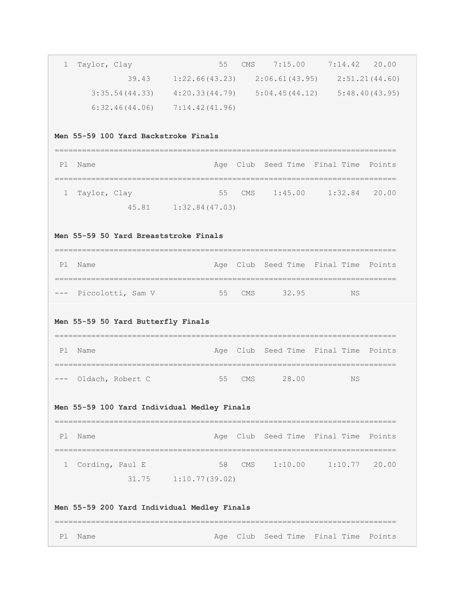| 1  | Taylor, Clay                                                        | 55                          | CMS |                               | $7:15.00$ $7:14.42$ 20.00            |        |
|----|---------------------------------------------------------------------|-----------------------------|-----|-------------------------------|--------------------------------------|--------|
|    | 39.43                                                               | 1:22.66(43.23)              |     |                               | $2:06.61(43.95)$ $2:51.21(44.60)$    |        |
|    | $3:35.54(44.33)$ $4:20.33(44.79)$ $5:04.45(44.12)$ $5:48.40(43.95)$ |                             |     |                               |                                      |        |
|    | $6:32.46(44.06)$ $7:14.42(41.96)$                                   |                             |     |                               |                                      |        |
|    |                                                                     |                             |     |                               |                                      |        |
|    | Men 55-59 100 Yard Backstroke Finals                                |                             |     |                               |                                      |        |
| Pl | Name                                                                |                             |     | Age Club Seed Time Final Time |                                      | Points |
| 1  | Taylor, Clay                                                        | 55                          |     |                               | CMS 1:45.00 1:32.84 20.00            |        |
|    |                                                                     | 45.81    1:32.84 (47.03)    |     |                               |                                      |        |
|    |                                                                     |                             |     |                               |                                      |        |
|    | Men 55-59 50 Yard Breaststroke Finals                               |                             |     |                               |                                      |        |
| Pl | Name                                                                | --------------------------- |     |                               | Age Club Seed Time Final Time Points |        |
|    | --- Piccolotti, Sam V                                               | 55                          | CMS | 32.95                         | ΝS                                   |        |
|    | Men 55-59 50 Yard Butterfly Finals                                  |                             |     |                               |                                      |        |
| Pl | ====================================<br>Name                        | Age                         |     |                               | Club Seed Time Final Time Points     |        |
|    | Oldach, Robert C                                                    | 55                          | CMS | 28.00                         | NS                                   |        |
|    | Men 55-59 100 Yard Individual Medley Finals                         |                             |     |                               |                                      |        |
| P1 | Name                                                                |                             |     | Age Club Seed Time Final Time |                                      | Points |
| 1  | Cording, Paul E                                                     | 58                          |     | CMS 1:10.00                   | $1:10.77$ 20.00                      |        |
|    |                                                                     | 31.75 1:10.77 (39.02)       |     |                               |                                      |        |
|    | Men 55-59 200 Yard Individual Medley Finals                         |                             |     |                               |                                      |        |
| Pl | Name                                                                | Age                         |     |                               | Club Seed Time Final Time Points     |        |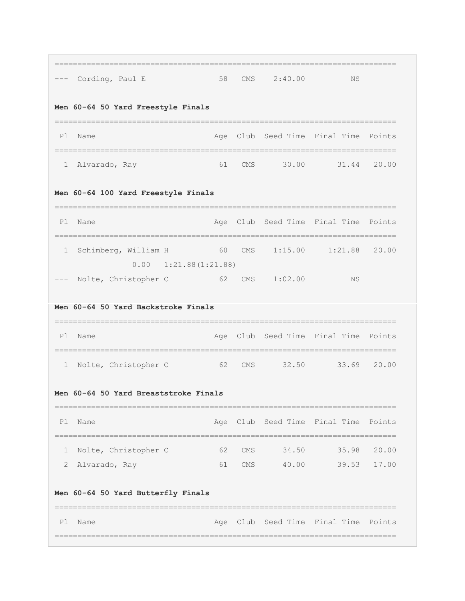|                                     | ==================<br>--- Cording, Paul E                                           | 58 | <b>CMS</b> | 2:40.00                                                                                                                | <b>NS</b>                                                |             |  |  |  |  |
|-------------------------------------|-------------------------------------------------------------------------------------|----|------------|------------------------------------------------------------------------------------------------------------------------|----------------------------------------------------------|-------------|--|--|--|--|
|                                     | Men 60-64 50 Yard Freestyle Finals                                                  |    |            |                                                                                                                        |                                                          |             |  |  |  |  |
| P1                                  | Name                                                                                |    |            |                                                                                                                        | Age Club Seed Time Final Time<br>:====================== | Points      |  |  |  |  |
| ı.                                  | Alvarado, Ray                                                                       |    |            |                                                                                                                        | 61 CMS 30.00 31.44 20.00                                 |             |  |  |  |  |
| Men 60-64 100 Yard Freestyle Finals |                                                                                     |    |            |                                                                                                                        |                                                          |             |  |  |  |  |
| P1                                  | Name                                                                                |    |            |                                                                                                                        | Age Club Seed Time Final Time Points                     |             |  |  |  |  |
| 1                                   | --------------------------<br>Schimberg, William H<br>$0.00 \quad 1:21.88(1:21.88)$ |    |            | 60 CMS 1:15.00                                                                                                         | $1:21.88$ 20.00                                          |             |  |  |  |  |
|                                     | --- Nolte, Christopher C                                                            |    |            | 62 CMS 1:02.00                                                                                                         | NS                                                       |             |  |  |  |  |
|                                     | Men 60-64 50 Yard Backstroke Finals                                                 |    |            |                                                                                                                        |                                                          |             |  |  |  |  |
| P1                                  | Name                                                                                |    |            |                                                                                                                        | Age Club Seed Time Final Time Points                     |             |  |  |  |  |
| 1                                   | Nolte, Christopher C                                                                |    |            |                                                                                                                        | 62 CMS 32.50 33.69 20.00                                 |             |  |  |  |  |
|                                     | Men 60-64 50 Yard Breaststroke Finals                                               |    |            |                                                                                                                        |                                                          |             |  |  |  |  |
| P1                                  | Name                                                                                |    |            |                                                                                                                        | Age Club Seed Time Final Time Points                     |             |  |  |  |  |
| 1                                   | Nolte, Christopher C                                                                | 62 | CMS        | 34.50                                                                                                                  | ====================                                     | 35.98 20.00 |  |  |  |  |
| 2                                   | Alvarado, Ray                                                                       | 61 |            | 40.00<br>CMS FOR THE COMPANY OF THE COMPANY OF THE COMPANY OF THE COMPANY OF THE COMPANY OF THE COMPANY OF THE COMPANY |                                                          | 39.53 17.00 |  |  |  |  |
|                                     | Men 60-64 50 Yard Butterfly Finals                                                  |    |            |                                                                                                                        |                                                          |             |  |  |  |  |
| P1                                  | Name                                                                                |    |            |                                                                                                                        | Age Club Seed Time Final Time Points                     |             |  |  |  |  |
|                                     |                                                                                     |    |            |                                                                                                                        |                                                          |             |  |  |  |  |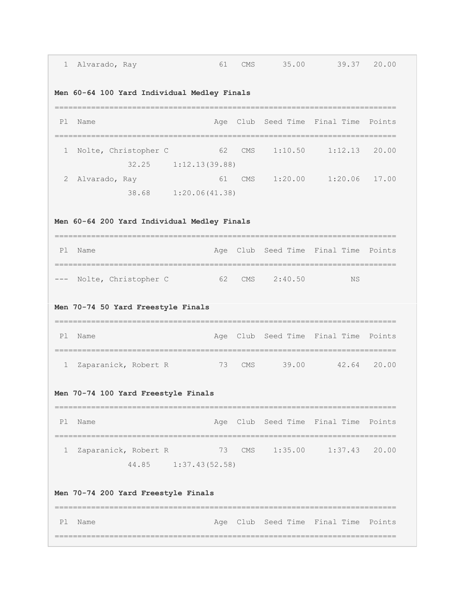| Alvarado, Ray                               | 61                       | CMS                                                                       |                                                                                                                       |                                                                                                                                 |                                                                                                                                                                                                                                       |  |  |  |  |  |
|---------------------------------------------|--------------------------|---------------------------------------------------------------------------|-----------------------------------------------------------------------------------------------------------------------|---------------------------------------------------------------------------------------------------------------------------------|---------------------------------------------------------------------------------------------------------------------------------------------------------------------------------------------------------------------------------------|--|--|--|--|--|
|                                             |                          |                                                                           |                                                                                                                       |                                                                                                                                 |                                                                                                                                                                                                                                       |  |  |  |  |  |
| Name                                        |                          |                                                                           |                                                                                                                       |                                                                                                                                 | Points                                                                                                                                                                                                                                |  |  |  |  |  |
| Nolte, Christopher C<br>32.25               | 62                       |                                                                           |                                                                                                                       |                                                                                                                                 |                                                                                                                                                                                                                                       |  |  |  |  |  |
| Alvarado, Ray                               | 61                       |                                                                           |                                                                                                                       |                                                                                                                                 |                                                                                                                                                                                                                                       |  |  |  |  |  |
| Men 60-64 200 Yard Individual Medley Finals |                          |                                                                           |                                                                                                                       |                                                                                                                                 |                                                                                                                                                                                                                                       |  |  |  |  |  |
| Name                                        |                          |                                                                           |                                                                                                                       |                                                                                                                                 |                                                                                                                                                                                                                                       |  |  |  |  |  |
|                                             |                          |                                                                           |                                                                                                                       | ΝS                                                                                                                              |                                                                                                                                                                                                                                       |  |  |  |  |  |
|                                             |                          |                                                                           |                                                                                                                       |                                                                                                                                 |                                                                                                                                                                                                                                       |  |  |  |  |  |
| Name                                        |                          |                                                                           |                                                                                                                       |                                                                                                                                 | Points                                                                                                                                                                                                                                |  |  |  |  |  |
| Zaparanick, Robert R                        |                          |                                                                           |                                                                                                                       |                                                                                                                                 | 20.00                                                                                                                                                                                                                                 |  |  |  |  |  |
|                                             |                          |                                                                           |                                                                                                                       |                                                                                                                                 |                                                                                                                                                                                                                                       |  |  |  |  |  |
| Name                                        |                          |                                                                           |                                                                                                                       |                                                                                                                                 | Points                                                                                                                                                                                                                                |  |  |  |  |  |
|                                             |                          |                                                                           |                                                                                                                       |                                                                                                                                 |                                                                                                                                                                                                                                       |  |  |  |  |  |
| Zaparanick, Robert R                        | 44.85 1:37.43(52.58)     | 73 CMS                                                                    | 1:35.00                                                                                                               | 1:37.43                                                                                                                         | 20.00                                                                                                                                                                                                                                 |  |  |  |  |  |
| Men 70-74 200 Yard Freestyle Finals         |                          |                                                                           |                                                                                                                       |                                                                                                                                 |                                                                                                                                                                                                                                       |  |  |  |  |  |
| 1<br>2                                      | --- Nolte, Christopher C | Men 70-74 50 Yard Freestyle Finals<br>Men 70-74 100 Yard Freestyle Finals | Men 60-64 100 Yard Individual Medley Finals<br>1:12.13(39.88)<br>38.68 1:20.06(41.38)<br>======================<br>73 | 62 CMS 2:40.50<br>CMS FOR THE COMPANY OF THE COMPANY OF THE COMPANY OF THE COMPANY OF THE COMPANY OF THE COMPANY OF THE COMPANY | 35.00 39.37 20.00<br>Age Club Seed Time Final Time<br>CMS 1:10.50 1:12.13 20.00<br>CMS 1:20.00 1:20.06 17.00<br>Age Club Seed Time Final Time Points<br>Age Club Seed Time Final Time<br>39.00 42.64<br>Age Club Seed Time Final Time |  |  |  |  |  |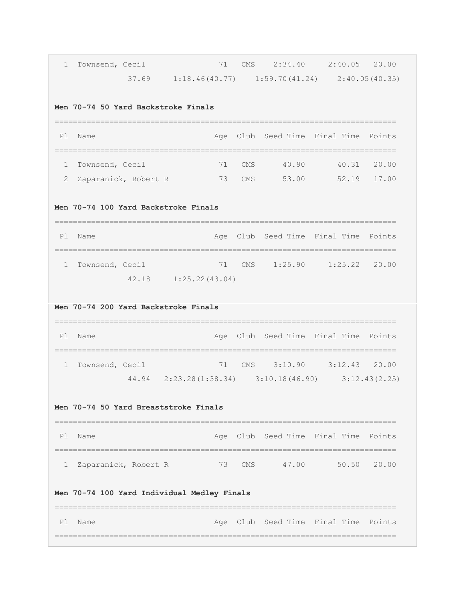| $\mathbf{1}$ | Townsend, Cecil                                                             | 71                                                        | CMS        |                                      | 2:34.40 2:40.05 20.00     |             |
|--------------|-----------------------------------------------------------------------------|-----------------------------------------------------------|------------|--------------------------------------|---------------------------|-------------|
|              |                                                                             | $37.69$ 1:18.46(40.77) 1:59.70(41.24) 2:40.05(40.35)      |            |                                      |                           |             |
|              | Men 70-74 50 Yard Backstroke Finals                                         |                                                           |            |                                      |                           |             |
| P1           | Name                                                                        |                                                           |            | Age Club Seed Time Final Time        |                           | Points      |
| 1            | Townsend, Cecil                                                             | 71                                                        | <b>CMS</b> | 40.90                                | 40.31                     | 20.00       |
| 2            | Zaparanick, Robert R                                                        | 73                                                        | CMS        | 53.00                                |                           | 52.19 17.00 |
|              | Men 70-74 100 Yard Backstroke Finals<br>=================================== |                                                           |            |                                      |                           |             |
| P1           | Name                                                                        | Age                                                       |            | Club Seed Time Final Time            |                           | Points      |
| $\mathbf{1}$ | Townsend, Cecil                                                             | 71                                                        | CMS        |                                      | $1:25.90$ $1:25.22$ 20.00 |             |
|              | 42.18                                                                       | 1:25.22(43.04)                                            |            |                                      |                           |             |
|              | Men 70-74 200 Yard Backstroke Finals<br>==================================  |                                                           |            |                                      |                           |             |
| Pl           | Name                                                                        | Age                                                       |            | Club Seed Time Final Time Points     |                           |             |
| $\mathbf{1}$ | Townsend, Cecil                                                             | 71                                                        |            | CMS 3:10.90 3:12.43 20.00            |                           |             |
|              |                                                                             | 44.94  2:23.28 (1:38.34)  3:10.18 (46.90)  3:12.43 (2.25) |            |                                      |                           |             |
|              | Men 70-74 50 Yard Breaststroke Finals                                       |                                                           |            |                                      |                           |             |
| Pl           | Name<br>-----------------------------------                                 |                                                           |            | Age Club Seed Time Final Time Points |                           |             |
| 1            | Zaparanick, Robert R                                                        |                                                           |            | 73 CMS 47.00 50.50 20.00             |                           |             |
|              | Men 70-74 100 Yard Individual Medley Finals                                 |                                                           |            |                                      |                           |             |
| P1           | Name                                                                        |                                                           |            | Age Club Seed Time Final Time Points |                           |             |
|              |                                                                             |                                                           |            |                                      |                           |             |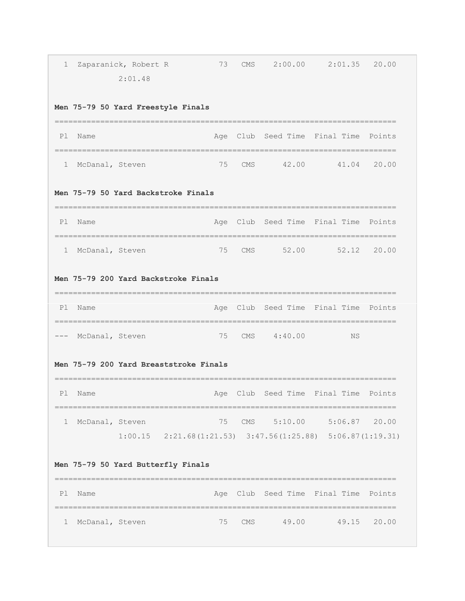| 1  |                 | Zaparanick, Robert R<br>2:01.48                                    | 73  | CMS        |             | $2:00.00$ $2:01.35$ 20.00                            |        |
|----|-----------------|--------------------------------------------------------------------|-----|------------|-------------|------------------------------------------------------|--------|
|    |                 | Men 75-79 50 Yard Freestyle Finals                                 |     |            |             |                                                      |        |
| P1 | Name            |                                                                    |     |            |             | Age Club Seed Time Final Time Points<br>------------ |        |
| ı  | McDanal, Steven |                                                                    | 75  | CMS        |             | 42.00 41.04 20.00                                    |        |
|    |                 | Men 75-79 50 Yard Backstroke Finals                                |     |            |             |                                                      |        |
| P1 | Name            |                                                                    |     |            |             | Age Club Seed Time Final Time                        | Points |
| 1  | McDanal, Steven |                                                                    | 75  | <b>CMS</b> |             | 52.00 52.12 20.00                                    |        |
|    |                 | Men 75-79 200 Yard Backstroke Finals                               |     |            |             |                                                      |        |
| Pl | Name            |                                                                    |     |            |             | Age Club Seed Time Final Time                        | Points |
|    | McDanal, Steven |                                                                    | 75  |            | CMS 4:40.00 | ΝS                                                   |        |
|    |                 | Men 75-79 200 Yard Breaststroke Finals                             |     |            |             |                                                      |        |
| P1 | Name            |                                                                    | Age | Club       | Seed Time   | Final Time                                           | Points |
| 1  | McDanal, Steven | $1:00.15$ $2:21.68(1:21.53)$ $3:47.56(1:25.88)$ $5:06.87(1:19.31)$ | 75  |            | CMS 5:10.00 | $5:06.87$ 20.00                                      |        |
|    |                 | Men 75-79 50 Yard Butterfly Finals                                 |     |            |             |                                                      |        |
| P1 | Name            |                                                                    | Age |            |             | Club Seed Time Final Time                            | Points |
| 1  | McDanal, Steven |                                                                    | 75  | <b>CMS</b> | 49.00       | 49.15                                                | 20.00  |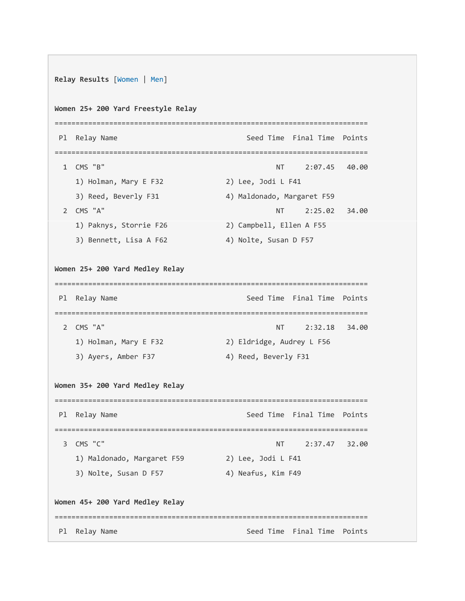```
Relay Results [Women | Men]
Women 25+ 200 Yard Freestyle Relay
=========================================================================== 
Pl Relay Name Seed Time Final Time Points
=========================================================================== 
  1 CMS "B" NT 2:07.45 40.00
   1) Holman, Mary E F32 2) Lee, Jodi L F41
   3) Reed, Beverly F31 4) Maldonado, Margaret F59
 2 CMS "A" NT 2:25.02 34.00
    1) Paknys, Storrie F26 2) Campbell, Ellen A F55 
   3) Bennett, Lisa A F62 4) Nolte, Susan D F57
Women 25+ 200 Yard Medley Relay
=========================================================================== 
Pl Relay Name Seed Time Final Time Points
=========================================================================== 
  2 CMS "A" NT 2:32.18 34.00
    1) Holman, Mary E F32 2) Eldridge, Audrey L F56 
   3) Ayers, Amber F37 4) Reed, Beverly F31
Women 35+ 200 Yard Medley Relay
=========================================================================== 
Pl Relay Name Seed Time Final Time Points
=========================================================================== 
  3 CMS "C" NT 2:37.47 32.00
    1) Maldonado, Margaret F59 2) Lee, Jodi L F41 
   3) Nolte, Susan D F57 4) Neafus, Kim F49
Women 45+ 200 Yard Medley Relay
=========================================================================== 
Pl Relay Name Seed Time Final Time Points
```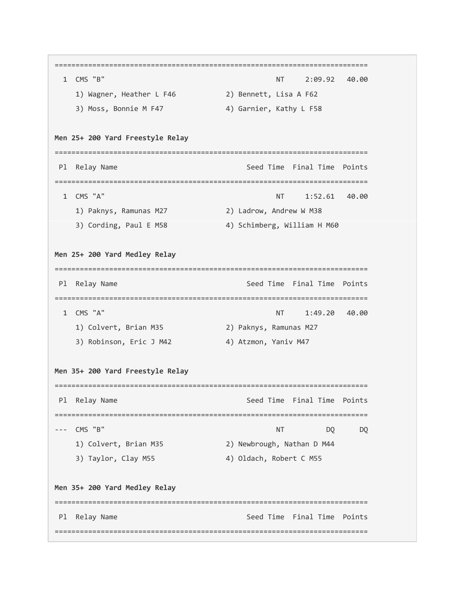=========================================================================== 1 CMS "B" NT 2:09.92 40.00 1) Wagner, Heather L F46 2) Bennett, Lisa A F62 3) Moss, Bonnie M F47 4) Garnier, Kathy L F58 **Men 25+ 200 Yard Freestyle Relay** =========================================================================== Pl Relay Name Seed Time Final Time Points =========================================================================== 1 CMS "A" NT 1:52.61 40.00 1) Paknys, Ramunas M27 2) Ladrow, Andrew W M38 3) Cording, Paul E M58 4) Schimberg, William H M60 **Men 25+ 200 Yard Medley Relay** =========================================================================== Pl Relay Name Seed Time Final Time Points =========================================================================== 1 CMS "A" NT 1:49.20 40.00 1) Colvert, Brian M35 2) Paknys, Ramunas M27 3) Robinson, Eric J M42 4) Atzmon, Yaniv M47 **Men 35+ 200 Yard Freestyle Relay** =========================================================================== Pl Relay Name Seed Time Final Time Points =========================================================================== --- CMS "B" NT DQ DQ DQ 1) Colvert, Brian M35 2) Newbrough, Nathan D M44 3) Taylor, Clay M55 4) Oldach, Robert C M55 **Men 35+ 200 Yard Medley Relay** =========================================================================== Pl Relay Name Seed Time Final Time Points ===========================================================================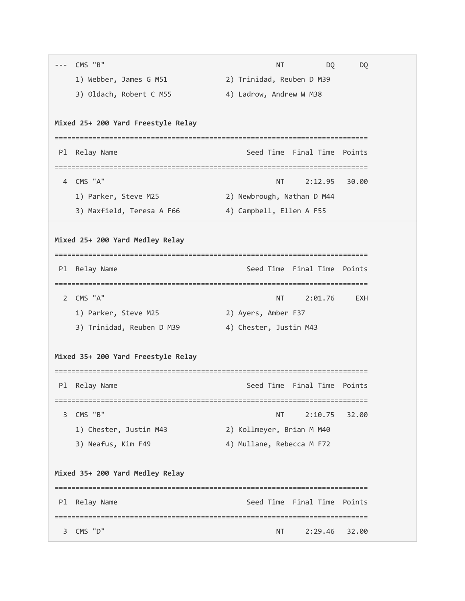|                | CMS "B"                            | NΤ                                     | DQ      | DQ     |
|----------------|------------------------------------|----------------------------------------|---------|--------|
|                | 1) Webber, James G M51             | 2) Trinidad, Reuben D M39              |         |        |
|                | 3) Oldach, Robert C M55            | 4) Ladrow, Andrew W M38                |         |        |
|                |                                    |                                        |         |        |
|                | Mixed 25+ 200 Yard Freestyle Relay |                                        |         |        |
| P1             | Relay Name                         | Seed Time Final Time                   |         | Points |
| 4              | CMS "A"                            | --------------------------------<br>NΤ | 2:12.95 | 30.00  |
|                | 1) Parker, Steve M25               | 2) Newbrough, Nathan D M44             |         |        |
|                | 3) Maxfield, Teresa A F66          | 4) Campbell, Ellen A F55               |         |        |
|                |                                    |                                        |         |        |
|                | Mixed 25+ 200 Yard Medley Relay    |                                        |         |        |
|                |                                    |                                        |         |        |
| P1             | Relay Name                         | Seed Time Final Time Points            |         |        |
| $\overline{2}$ | CMS "A"                            | NT                                     | 2:01.76 | EXH    |
|                | 1) Parker, Steve M25               | 2) Ayers, Amber F37                    |         |        |
|                | 3) Trinidad, Reuben D M39          | 4) Chester, Justin M43                 |         |        |
|                |                                    |                                        |         |        |
|                | Mixed 35+ 200 Yard Freestyle Relay |                                        |         |        |
| Pl             | Relay Name                         | Seed Time Final Time Points            |         |        |
| 3              | CMS "B"                            | <b>NT</b>                              | 2:10.75 | 32.00  |
|                | 1) Chester, Justin M43             | 2) Kollmeyer, Brian M M40              |         |        |
|                | 3) Neafus, Kim F49                 | 4) Mullane, Rebecca M F72              |         |        |
|                | Mixed 35+ 200 Yard Medley Relay    |                                        |         |        |
|                |                                    |                                        |         |        |
| P1             | Relay Name                         | Seed Time Final Time                   |         | Points |
|                |                                    |                                        |         |        |
| З              | CMS "D"                            | NΤ                                     | 2:29.46 | 32.00  |